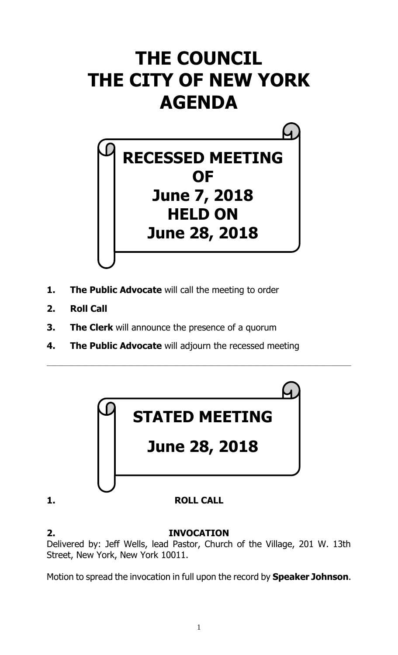# **THE COUNCIL THE CITY OF NEW YORK AGENDA**



- **1. The Public Advocate** will call the meeting to order
- **2. Roll Call**
- **3. The Clerk** will announce the presence of a quorum
- **4. The Public Advocate** will adjourn the recessed meeting



\_\_\_\_\_\_\_\_\_\_\_\_\_\_\_\_\_\_\_\_\_\_\_\_\_\_\_\_\_\_\_\_\_\_\_\_\_\_\_\_\_\_\_\_\_\_\_\_\_\_\_\_\_\_\_\_\_\_\_\_\_\_\_\_\_\_\_\_\_\_\_\_\_\_\_\_\_\_\_\_\_\_\_\_\_\_\_\_\_\_\_\_\_

**2. INVOCATION** Delivered by: Jeff Wells, lead Pastor, Church of the Village, 201 W. 13th Street, New York, New York 10011.

Motion to spread the invocation in full upon the record by **Speaker Johnson**.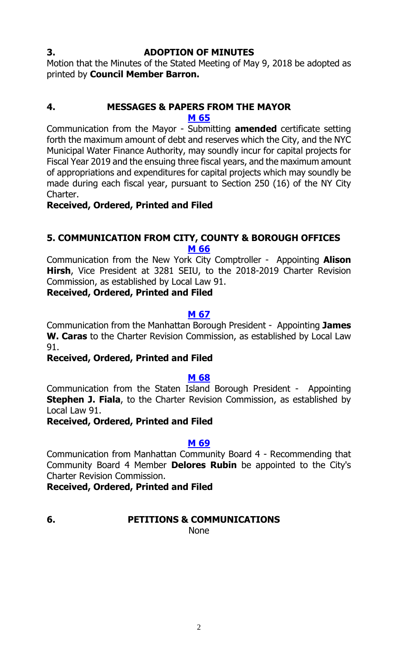#### **3. ADOPTION OF MINUTES**

Motion that the Minutes of the Stated Meeting of May 9, 2018 be adopted as printed by **Council Member Barron.**

#### **4. MESSAGES & PAPERS FROM THE MAYOR M [65](http://legistar.council.nyc.gov/LegislationDetail.aspx?ID=3541104&GUID=5CEE49B0-B131-4601-95C4-1B06C3F4BB86&Options=&Search=)**

Communication from the Mayor - Submitting **amended** certificate setting forth the maximum amount of debt and reserves which the City, and the NYC Municipal Water Finance Authority, may soundly incur for capital projects for Fiscal Year 2019 and the ensuing three fiscal years, and the maximum amount of appropriations and expenditures for capital projects which may soundly be made during each fiscal year, pursuant to Section 250 (16) of the NY City Charter.

# **Received, Ordered, Printed and Filed**

# **5. COMMUNICATION FROM CITY, COUNTY & BOROUGH OFFICES M [66](http://legistar.council.nyc.gov/LegislationDetail.aspx?ID=3541115&GUID=9A930BA4-FD99-4E3B-8480-FDA98B43CB64&Options=&Search=)**

Communication from the New York City Comptroller - Appointing **Alison Hirsh**, Vice President at 3281 SEIU, to the 2018-2019 Charter Revision Commission, as established by Local Law 91.

#### **Received, Ordered, Printed and Filed**

#### **M [67](http://legistar.council.nyc.gov/LegislationDetail.aspx?ID=3541151&GUID=3435C42A-8408-4684-8AE8-4230F26B8CDE&Options=&Search=)**

Communication from the Manhattan Borough President - Appointing **James W. Caras** to the Charter Revision Commission, as established by Local Law 91.

#### **Received, Ordered, Printed and Filed**

#### **M [68](http://legistar.council.nyc.gov/LegislationDetail.aspx?ID=3541116&GUID=49E9E53D-03B9-46B5-9E56-F80042E4A105&Options=&Search=)**

Communication from the Staten Island Borough President - Appointing **Stephen J. Fiala**, to the Charter Revision Commission, as established by Local Law 91.

#### **Received, Ordered, Printed and Filed**

#### **M [69](http://legistar.council.nyc.gov/LegislationDetail.aspx?ID=3541103&GUID=C30AA425-6D03-4AAA-B7BA-927827C42F94&Options=&Search=)**

Communication from Manhattan Community Board 4 - Recommending that Community Board 4 Member **Delores Rubin** be appointed to the City's Charter Revision Commission.

**Received, Ordered, Printed and Filed**

**6. PETITIONS & COMMUNICATIONS**

None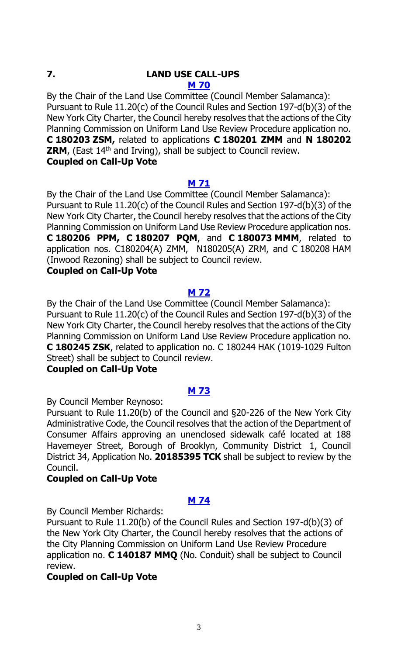# **7. LAND USE CALL-UPS**

**M [70](http://legistar.council.nyc.gov/LegislationDetail.aspx?ID=3541123&GUID=91B38D76-90F4-4EB0-8A0D-9BCF14A1B433&Options=&Search=)**

By the Chair of the Land Use Committee (Council Member Salamanca): Pursuant to Rule 11.20(c) of the Council Rules and Section 197-d(b)(3) of the New York City Charter, the Council hereby resolves that the actions of the City Planning Commission on Uniform Land Use Review Procedure application no. **C 180203 ZSM,** related to applications **C 180201 ZMM** and **N 180202 ZRM**, (East 14<sup>th</sup> and Irving), shall be subject to Council review. **Coupled on Call-Up Vote**

# **M [71](http://legistar.council.nyc.gov/LegislationDetail.aspx?ID=3541124&GUID=99FD1B3E-E5B9-4807-8A30-875E0917FEAC&Options=&Search=)**

By the Chair of the Land Use Committee (Council Member Salamanca): Pursuant to Rule 11.20(c) of the Council Rules and Section 197-d(b)(3) of the New York City Charter, the Council hereby resolves that the actions of the City Planning Commission on Uniform Land Use Review Procedure application nos. **C 180206 PPM, C 180207 PQM**, and **C 180073 MMM**, related to application nos. C180204(A) ZMM, N180205(A) ZRM, and C 180208 HAM (Inwood Rezoning) shall be subject to Council review.

# **Coupled on Call-Up Vote**

# **M [72](http://legistar.council.nyc.gov/LegislationDetail.aspx?ID=3541125&GUID=4AB29C23-7515-48E2-B345-EB0A9EA3F5BA&Options=&Search=)**

By the Chair of the Land Use Committee (Council Member Salamanca): Pursuant to Rule 11.20(c) of the Council Rules and Section 197-d(b)(3) of the New York City Charter, the Council hereby resolves that the actions of the City Planning Commission on Uniform Land Use Review Procedure application no. **C 180245 ZSK**, related to application no. C 180244 HAK (1019-1029 Fulton Street) shall be subject to Council review.

# **Coupled on Call-Up Vote**

# **M [73](http://legistar.council.nyc.gov/LegislationDetail.aspx?ID=3541126&GUID=962C30C7-A838-4D08-A0F3-36368A25B878&Options=&Search=)**

By Council Member Reynoso:

Pursuant to Rule 11.20(b) of the Council and §20-226 of the New York City Administrative Code, the Council resolves that the action of the Department of Consumer Affairs approving an unenclosed sidewalk café located at 188 Havemeyer Street, Borough of Brooklyn, Community District 1, Council District 34, Application No. **20185395 TCK** shall be subject to review by the Council.

# **Coupled on Call-Up Vote**

# **M [74](http://legistar.council.nyc.gov/LegislationDetail.aspx?ID=3541127&GUID=DF2E5990-FE92-42E7-B9E4-EE052BD88BB1&Options=&Search=)**

By Council Member Richards:

Pursuant to Rule 11.20(b) of the Council Rules and Section 197-d(b)(3) of the New York City Charter, the Council hereby resolves that the actions of the City Planning Commission on Uniform Land Use Review Procedure application no. **C 140187 MMQ** (No. Conduit) shall be subject to Council review.

# **Coupled on Call-Up Vote**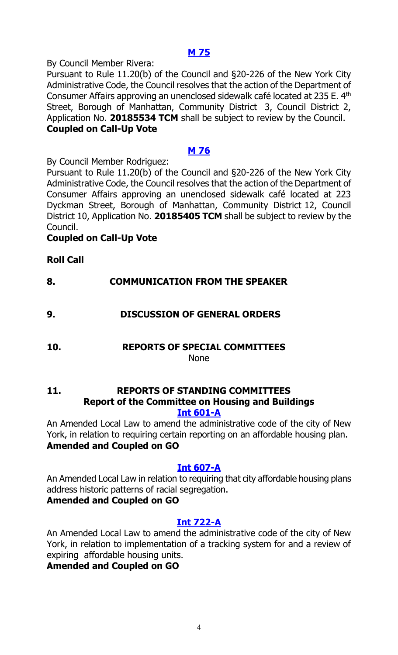### **M [75](http://legistar.council.nyc.gov/LegislationDetail.aspx?ID=3541128&GUID=0FFC8E58-4E9B-47C8-963F-B1ABA9E84E42&Options=&Search=)**

By Council Member Rivera:

Pursuant to Rule 11.20(b) of the Council and §20-226 of the New York City Administrative Code, the Council resolves that the action of the Department of Consumer Affairs approving an unenclosed sidewalk café located at 235 E. 4th Street, Borough of Manhattan, Community District 3, Council District 2, Application No. **20185534 TCM** shall be subject to review by the Council. **Coupled on Call-Up Vote**

# **M [76](http://legistar.council.nyc.gov/LegislationDetail.aspx?ID=3541129&GUID=3A2775B1-4E1C-4738-9C62-C1D51AD71CAE&Options=&Search=)**

By Council Member Rodriguez:

Pursuant to Rule 11.20(b) of the Council and §20-226 of the New York City Administrative Code, the Council resolves that the action of the Department of Consumer Affairs approving an unenclosed sidewalk café located at 223 Dyckman Street, Borough of Manhattan, Community District 12, Council District 10, Application No. **20185405 TCM** shall be subject to review by the Council.

# **Coupled on Call-Up Vote**

# **Roll Call**

**8. COMMUNICATION FROM THE SPEAKER**

# **9. DISCUSSION OF GENERAL ORDERS**

**10. REPORTS OF SPECIAL COMMITTEES**

None

#### **11. REPORTS OF STANDING COMMITTEES Report of the Committee on Housing and Buildings [Int 601-A](http://legistar.council.nyc.gov/LegislationDetail.aspx?ID=3344768&GUID=7ABAA307-1F33-4883-AFBC-56E6E2212DB7&Options=&Search=)**

An Amended Local Law to amend the administrative code of the city of New York, in relation to requiring certain reporting on an affordable housing plan. **Amended and Coupled on GO**

# **[Int 607-A](http://legistar.council.nyc.gov/LegislationDetail.aspx?ID=3344796&GUID=8E629C24-E879-415C-A513-1A244CCE0B3D&Options=&Search=)**

An Amended Local Law in relation to requiring that city affordable housing plans address historic patterns of racial segregation.

# **Amended and Coupled on GO**

# **[Int 722-A](http://legistar.council.nyc.gov/LegislationDetail.aspx?ID=3458227&GUID=20DBCD3B-9049-4D1B-A19E-AFE60A8358DC&Options=&Search=)**

An Amended Local Law to amend the administrative code of the city of New York, in relation to implementation of a tracking system for and a review of expiring affordable housing units.

# **Amended and Coupled on GO**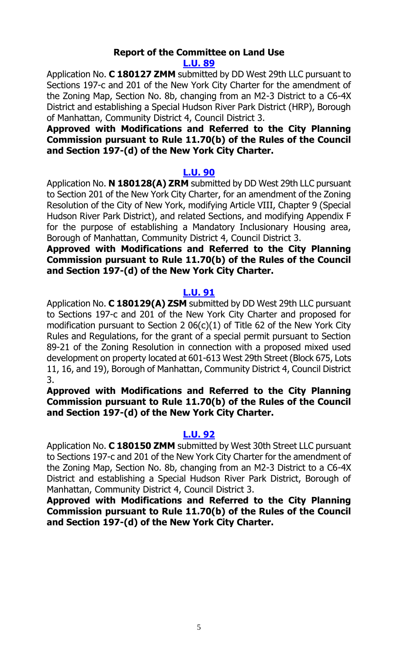#### **Report of the Committee on Land Use [L.U. 89](http://legistar.council.nyc.gov/LegislationDetail.aspx?ID=3498563&GUID=FC63D868-0E16-40ED-B04C-B152D8F0D3FB&Options=&Search=)**

Application No. **C 180127 ZMM** submitted by DD West 29th LLC pursuant to Sections 197-c and 201 of the New York City Charter for the amendment of the Zoning Map, Section No. 8b, changing from an M2-3 District to a C6-4X District and establishing a Special Hudson River Park District (HRP), Borough of Manhattan, Community District 4, Council District 3.

#### **Approved with Modifications and Referred to the City Planning Commission pursuant to Rule 11.70(b) of the Rules of the Council and Section 197-(d) of the New York City Charter.**

#### **[L.U. 90](http://legistar.council.nyc.gov/LegislationDetail.aspx?ID=3498564&GUID=8DF316B4-8D45-4ED5-8079-66D53AE7727B&Options=&Search=)**

Application No. **N 180128(A) ZRM** submitted by DD West 29th LLC pursuant to Section 201 of the New York City Charter, for an amendment of the Zoning Resolution of the City of New York, modifying Article VIII, Chapter 9 (Special Hudson River Park District), and related Sections, and modifying Appendix F for the purpose of establishing a Mandatory Inclusionary Housing area, Borough of Manhattan, Community District 4, Council District 3.

#### **Approved with Modifications and Referred to the City Planning Commission pursuant to Rule 11.70(b) of the Rules of the Council and Section 197-(d) of the New York City Charter.**

#### **[L.U. 91](http://legistar.council.nyc.gov/LegislationDetail.aspx?ID=3498565&GUID=3D2D52FF-D318-4036-A941-203E81FFAA93&Options=&Search=)**

Application No. **C 180129(A) ZSM** submitted by DD West 29th LLC pursuant to Sections 197-c and 201 of the New York City Charter and proposed for modification pursuant to Section 2 06(c)(1) of Title 62 of the New York City Rules and Regulations, for the grant of a special permit pursuant to Section 89-21 of the Zoning Resolution in connection with a proposed mixed used development on property located at 601-613 West 29th Street (Block 675, Lots 11, 16, and 19), Borough of Manhattan, Community District 4, Council District 3.

#### **Approved with Modifications and Referred to the City Planning Commission pursuant to Rule 11.70(b) of the Rules of the Council and Section 197-(d) of the New York City Charter.**

#### **[L.U. 92](http://legistar.council.nyc.gov/LegislationDetail.aspx?ID=3498566&GUID=2D3259FF-41C6-40A6-AADC-7A4117F881FC&Options=&Search=)**

Application No. **C 180150 ZMM** submitted by West 30th Street LLC pursuant to Sections 197-c and 201 of the New York City Charter for the amendment of the Zoning Map, Section No. 8b, changing from an M2-3 District to a C6-4X District and establishing a Special Hudson River Park District, Borough of Manhattan, Community District 4, Council District 3.

**Approved with Modifications and Referred to the City Planning Commission pursuant to Rule 11.70(b) of the Rules of the Council and Section 197-(d) of the New York City Charter.**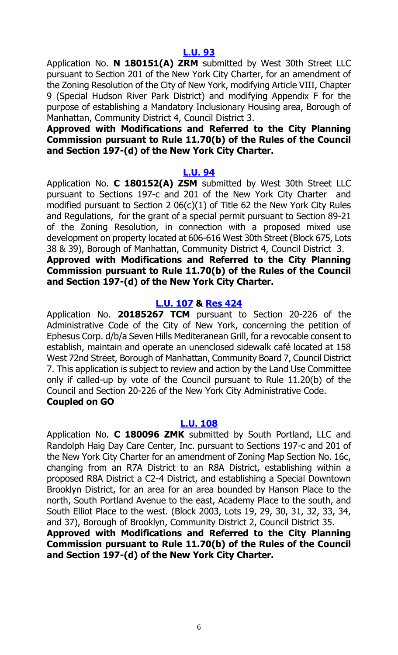Application No. **N 180151(A) ZRM** submitted by West 30th Street LLC pursuant to Section 201 of the New York City Charter, for an amendment of the Zoning Resolution of the City of New York, modifying Article VIII, Chapter 9 (Special Hudson River Park District) and modifying Appendix F for the purpose of establishing a Mandatory Inclusionary Housing area, Borough of Manhattan, Community District 4, Council District 3.

#### **Approved with Modifications and Referred to the City Planning Commission pursuant to Rule 11.70(b) of the Rules of the Council and Section 197-(d) of the New York City Charter.**

#### **[L.U. 94](http://legistar.council.nyc.gov/LegislationDetail.aspx?ID=3498568&GUID=DF116C30-1A62-4A11-A862-3E2365CF3FC3&Options=&Search=)**

Application No. **C 180152(A) ZSM** submitted by West 30th Street LLC pursuant to Sections 197-c and 201 of the New York City Charter and modified pursuant to Section 2 06(c)(1) of Title 62 the New York City Rules and Regulations, for the grant of a special permit pursuant to Section 89-21 of the Zoning Resolution, in connection with a proposed mixed use development on property located at 606-616 West 30th Street (Block 675, Lots 38 & 39), Borough of Manhattan, Community District 4, Council District 3. **Approved with Modifications and Referred to the City Planning** 

# **Commission pursuant to Rule 11.70(b) of the Rules of the Council and Section 197-(d) of the New York City Charter.**

# **[L.U. 107](http://legistar.council.nyc.gov/LegislationDetail.aspx?ID=3508891&GUID=FA8491AE-7DEA-4280-9E67-D0F4946AF44F&Options=&Search=) & [Res](http://legistar.council.nyc.gov/LegislationDetail.aspx?ID=3534372&GUID=776C98EA-0504-4547-A7F0-4559E1586C63&Options=&Search=) 424**

Application No. **20185267 TCM** pursuant to Section 20-226 of the Administrative Code of the City of New York, concerning the petition of Ephesus Corp. d/b/a Seven Hills Mediteranean Grill, for a revocable consent to establish, maintain and operate an unenclosed sidewalk café located at 158 West 72nd Street, Borough of Manhattan, Community Board 7, Council District 7. This application is subject to review and action by the Land Use Committee only if called-up by vote of the Council pursuant to Rule 11.20(b) of the Council and Section 20-226 of the New York City Administrative Code. **Coupled on GO**

#### **[L.U. 108](http://legistar.council.nyc.gov/LegislationDetail.aspx?ID=3508892&GUID=F1B81CAF-E7EA-43EF-880F-0DF54462B126&Options=&Search=)**

Application No. **C 180096 ZMK** submitted by South Portland, LLC and Randolph Haig Day Care Center, Inc. pursuant to Sections 197-c and 201 of the New York City Charter for an amendment of Zoning Map Section No. 16c, changing from an R7A District to an R8A District, establishing within a proposed R8A District a C2-4 District, and establishing a Special Downtown Brooklyn District, for an area for an area bounded by Hanson Place to the north, South Portland Avenue to the east, Academy Place to the south, and South Elliot Place to the west. (Block 2003, Lots 19, 29, 30, 31, 32, 33, 34, and 37), Borough of Brooklyn, Community District 2, Council District 35.

**Approved with Modifications and Referred to the City Planning Commission pursuant to Rule 11.70(b) of the Rules of the Council and Section 197-(d) of the New York City Charter.**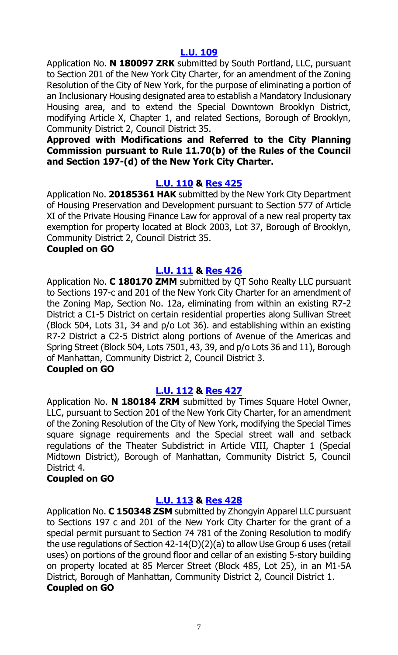Application No. **N 180097 ZRK** submitted by South Portland, LLC, pursuant to Section 201 of the New York City Charter, for an amendment of the Zoning Resolution of the City of New York, for the purpose of eliminating a portion of an Inclusionary Housing designated area to establish a Mandatory Inclusionary Housing area, and to extend the Special Downtown Brooklyn District, modifying Article X, Chapter 1, and related Sections, Borough of Brooklyn, Community District 2, Council District 35.

#### **Approved with Modifications and Referred to the City Planning Commission pursuant to Rule 11.70(b) of the Rules of the Council and Section 197-(d) of the New York City Charter.**

# **[L.U. 110](http://legistar.council.nyc.gov/LegislationDetail.aspx?ID=3508894&GUID=1B42F0A8-B7A8-4533-9AF2-C5BE8948FDB9&Options=&Search=) & [Res](http://legistar.council.nyc.gov/LegislationDetail.aspx?ID=3534485&GUID=070232D9-7646-4A58-9719-7B871F5BA9CC&Options=&Search=) 425**

Application No. **20185361 HAK** submitted by the New York City Department of Housing Preservation and Development pursuant to Section 577 of Article XI of the Private Housing Finance Law for approval of a new real property tax exemption for property located at Block 2003, Lot 37, Borough of Brooklyn, Community District 2, Council District 35.

#### **Coupled on GO**

# **[L.U. 111](http://legistar.council.nyc.gov/LegislationDetail.aspx?ID=3508895&GUID=D7F08BEF-DE10-4E78-8DD0-0C2D2FC394E3&Options=&Search=) & [Res](http://legistar.council.nyc.gov/LegislationDetail.aspx?ID=3534486&GUID=CB134DB7-C4B4-4BC1-8DF5-8868F9B3ED6C&Options=&Search=) 426**

Application No. **C 180170 ZMM** submitted by QT Soho Realty LLC pursuant to Sections 197-c and 201 of the New York City Charter for an amendment of the Zoning Map, Section No. 12a, eliminating from within an existing R7-2 District a C1-5 District on certain residential properties along Sullivan Street (Block 504, Lots 31, 34 and p/o Lot 36). and establishing within an existing R7-2 District a C2-5 District along portions of Avenue of the Americas and Spring Street (Block 504, Lots 7501, 43, 39, and p/o Lots 36 and 11), Borough of Manhattan, Community District 2, Council District 3.

# **Coupled on GO**

#### **[L.U. 112](http://legistar.council.nyc.gov/LegislationDetail.aspx?ID=3508896&GUID=BBA00D44-7600-4FBF-951B-9DA9A3E366DF&Options=&Search=) & [Res](http://legistar.council.nyc.gov/LegislationDetail.aspx?ID=3534487&GUID=F903B95D-38C9-4BD4-87E0-E6EC7D09509D&Options=&Search=) 427**

Application No. **N 180184 ZRM** submitted by Times Square Hotel Owner, LLC, pursuant to Section 201 of the New York City Charter, for an amendment of the Zoning Resolution of the City of New York, modifying the Special Times square signage requirements and the Special street wall and setback regulations of the Theater Subdistrict in Article VIII, Chapter 1 (Special Midtown District), Borough of Manhattan, Community District 5, Council District 4.

#### **Coupled on GO**

#### **[L.U. 113](http://legistar.council.nyc.gov/LegislationDetail.aspx?ID=3508897&GUID=4CA54618-9279-4B64-93E3-C4530495FAF3&Options=&Search=) & [Res](http://legistar.council.nyc.gov/LegislationDetail.aspx?ID=3534488&GUID=D4589B2A-5485-4050-B685-03063BDE3C9A&Options=&Search=) 428**

Application No. **C 150348 ZSM** submitted by Zhongyin Apparel LLC pursuant to Sections 197 c and 201 of the New York City Charter for the grant of a special permit pursuant to Section 74 781 of the Zoning Resolution to modify the use regulations of Section 42-14(D)(2)(a) to allow Use Group 6 uses (retail uses) on portions of the ground floor and cellar of an existing 5-story building on property located at 85 Mercer Street (Block 485, Lot 25), in an M1-5A District, Borough of Manhattan, Community District 2, Council District 1. **Coupled on GO**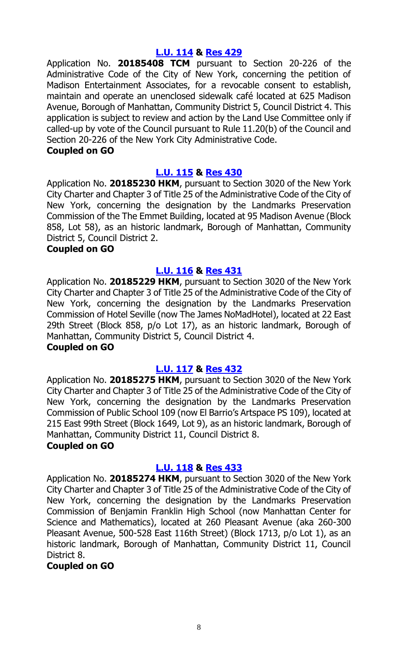#### **[L.U. 114](http://legistar.council.nyc.gov/LegislationDetail.aspx?ID=3521936&GUID=088FB1F4-E682-4CA1-BD28-D3DDD91E3F08&Options=&Search=) & [Res](http://legistar.council.nyc.gov/LegislationDetail.aspx?ID=3534489&GUID=F8C1B55E-5D79-41A6-A6F2-A0A7D9787C92&Options=&Search=) 429**

Application No. **20185408 TCM** pursuant to Section 20-226 of the Administrative Code of the City of New York, concerning the petition of Madison Entertainment Associates, for a revocable consent to establish, maintain and operate an unenclosed sidewalk café located at 625 Madison Avenue, Borough of Manhattan, Community District 5, Council District 4. This application is subject to review and action by the Land Use Committee only if called-up by vote of the Council pursuant to Rule 11.20(b) of the Council and Section 20-226 of the New York City Administrative Code.

#### **Coupled on GO**

#### **[L.U. 115](http://legistar.council.nyc.gov/LegislationDetail.aspx?ID=3521937&GUID=671C1F51-9D0A-4E0D-9995-6A842845DD82&Options=&Search=) & [Res](http://legistar.council.nyc.gov/LegislationDetail.aspx?ID=3534505&GUID=00B8A7E9-689E-47E0-B6E0-93C54A819E4C&Options=&Search=) 430**

Application No. **20185230 HKM**, pursuant to Section 3020 of the New York City Charter and Chapter 3 of Title 25 of the Administrative Code of the City of New York, concerning the designation by the Landmarks Preservation Commission of the The Emmet Building, located at 95 Madison Avenue (Block 858, Lot 58), as an historic landmark, Borough of Manhattan, Community District 5, Council District 2.

#### **Coupled on GO**

#### **[L.U. 116](http://legistar.council.nyc.gov/LegislationDetail.aspx?ID=3521939&GUID=7490BE39-4AF9-4895-93D6-551A17FA5009&Options=&Search=) & [Res](http://legistar.council.nyc.gov/LegislationDetail.aspx?ID=3534506&GUID=4F44C7B9-79D2-4FFF-899A-AEC4524041E5&Options=&Search=) 431**

Application No. **20185229 HKM**, pursuant to Section 3020 of the New York City Charter and Chapter 3 of Title 25 of the Administrative Code of the City of New York, concerning the designation by the Landmarks Preservation Commission of Hotel Seville (now The James NoMadHotel), located at 22 East 29th Street (Block 858, p/o Lot 17), as an historic landmark, Borough of Manhattan, Community District 5, Council District 4.

#### **Coupled on GO**

#### **[L.U. 117](http://legistar.council.nyc.gov/LegislationDetail.aspx?ID=3521940&GUID=046D7436-FC23-4454-A7A6-B84A38C9A790&Options=&Search=) & [Res](http://legistar.council.nyc.gov/LegislationDetail.aspx?ID=3534507&GUID=B7ACA2F2-DA76-417C-9B64-118BE6AE88C3&Options=&Search=) 432**

Application No. **20185275 HKM**, pursuant to Section 3020 of the New York City Charter and Chapter 3 of Title 25 of the Administrative Code of the City of New York, concerning the designation by the Landmarks Preservation Commission of Public School 109 (now El Barrio's Artspace PS 109), located at 215 East 99th Street (Block 1649, Lot 9), as an historic landmark, Borough of Manhattan, Community District 11, Council District 8.

#### **Coupled on GO**

#### **[L.U. 118](http://legistar.council.nyc.gov/LegislationDetail.aspx?ID=3521941&GUID=EE905A8D-CAA3-4325-BD25-45BE3B2603D3&Options=&Search=) & [Res](http://legistar.council.nyc.gov/LegislationDetail.aspx?ID=3534508&GUID=25B5A4D1-8094-46C3-BBB3-5AA8F3BE7F28&Options=&Search=) 433**

Application No. **20185274 HKM**, pursuant to Section 3020 of the New York City Charter and Chapter 3 of Title 25 of the Administrative Code of the City of New York, concerning the designation by the Landmarks Preservation Commission of Benjamin Franklin High School (now Manhattan Center for Science and Mathematics), located at 260 Pleasant Avenue (aka 260-300 Pleasant Avenue, 500-528 East 116th Street) (Block 1713, p/o Lot 1), as an historic landmark, Borough of Manhattan, Community District 11, Council District 8.

#### **Coupled on GO**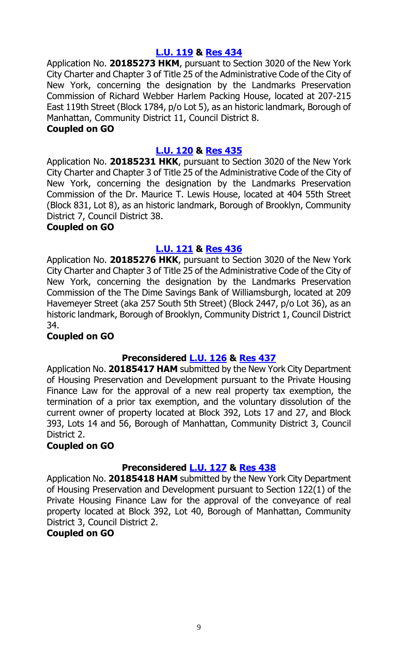#### **[L.U. 119](http://legistar.council.nyc.gov/LegislationDetail.aspx?ID=3521942&GUID=DA26F0E6-C4F3-40A4-9378-5F869D79A032&Options=&Search=) & [Res](http://legistar.council.nyc.gov/LegislationDetail.aspx?ID=3534523&GUID=64BBC5D3-7F03-47C0-8A02-75DB230A63AD&Options=&Search=) 434**

Application No. **20185273 HKM**, pursuant to Section 3020 of the New York City Charter and Chapter 3 of Title 25 of the Administrative Code of the City of New York, concerning the designation by the Landmarks Preservation Commission of Richard Webber Harlem Packing House, located at 207-215 East 119th Street (Block 1784, p/o Lot 5), as an historic landmark, Borough of Manhattan, Community District 11, Council District 8.

#### **Coupled on GO**

#### **[L.U. 120](http://legistar.council.nyc.gov/LegislationDetail.aspx?ID=3521943&GUID=90E4474F-C128-43FA-AE7C-B3D7E3E00467&Options=&Search=) & [Res](http://legistar.council.nyc.gov/LegislationDetail.aspx?ID=3534524&GUID=FAF9CD3D-8996-448A-840F-AEB9A88E910F&Options=&Search=) 435**

Application No. **20185231 HKK**, pursuant to Section 3020 of the New York City Charter and Chapter 3 of Title 25 of the Administrative Code of the City of New York, concerning the designation by the Landmarks Preservation Commission of the Dr. Maurice T. Lewis House, located at 404 55th Street (Block 831, Lot 8), as an historic landmark, Borough of Brooklyn, Community District 7, Council District 38.

#### **Coupled on GO**

#### **[L.U. 121](http://legistar.council.nyc.gov/LegislationDetail.aspx?ID=3521944&GUID=1F06DB3E-4BAF-40CF-B5D2-65E5CC4D0BDE&Options=&Search=) & [Res](http://legistar.council.nyc.gov/LegislationDetail.aspx?ID=3534525&GUID=22DD033D-286D-4BE9-A2CD-BB770D40A30F&Options=&Search=) 436**

Application No. **20185276 HKK**, pursuant to Section 3020 of the New York City Charter and Chapter 3 of Title 25 of the Administrative Code of the City of New York, concerning the designation by the Landmarks Preservation Commission of the The Dime Savings Bank of Williamsburgh, located at 209 Havemeyer Street (aka 257 South 5th Street) (Block 2447, p/o Lot 36), as an historic landmark, Borough of Brooklyn, Community District 1, Council District 34.

#### **Coupled on GO**

# **Preconsidered [L.U.](http://legistar.council.nyc.gov/LegislationDetail.aspx?ID=3529897&GUID=8A21A1D6-DC5F-4F82-A6FC-7B02866E585F&Options=&Search=) 126 & [Res](http://legistar.council.nyc.gov/LegislationDetail.aspx?ID=3534556&GUID=694DC4DF-F9AA-4500-A109-C086D3B0B310&Options=&Search=) 437**

Application No. **20185417 HAM** submitted by the New York City Department of Housing Preservation and Development pursuant to the Private Housing Finance Law for the approval of a new real property tax exemption, the termination of a prior tax exemption, and the voluntary dissolution of the current owner of property located at Block 392, Lots 17 and 27, and Block 393, Lots 14 and 56, Borough of Manhattan, Community District 3, Council District 2.

#### **Coupled on GO**

#### **Preconsidered [L.U.](http://legistar.council.nyc.gov/LegislationDetail.aspx?ID=3529898&GUID=921D9135-168E-4E33-96AA-921D3CDF4220&Options=&Search=) 127 & [Res](http://legistar.council.nyc.gov/LegislationDetail.aspx?ID=3534557&GUID=B2EE0BC4-5240-4A2F-B520-22EB13910023&Options=&Search=) 438**

Application No. **20185418 HAM** submitted by the New York City Department of Housing Preservation and Development pursuant to Section 122(1) of the Private Housing Finance Law for the approval of the conveyance of real property located at Block 392, Lot 40, Borough of Manhattan, Community District 3, Council District 2.

#### **Coupled on GO**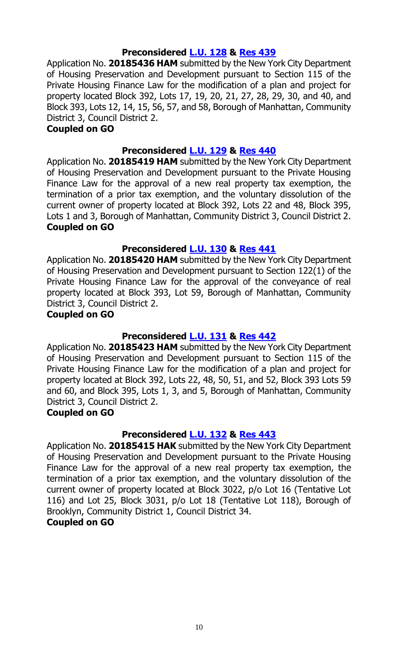### **Preconsidered [L.U.](http://legistar.council.nyc.gov/LegislationDetail.aspx?ID=3529899&GUID=73CA6B34-2A6F-48CE-BED4-440493324107&Options=&Search=) 128 & [Res](http://legistar.council.nyc.gov/LegislationDetail.aspx?ID=3534558&GUID=FBA71311-775F-4A1A-84FD-5F176473F1B5&Options=&Search=) 439**

Application No. **20185436 HAM** submitted by the New York City Department of Housing Preservation and Development pursuant to Section 115 of the Private Housing Finance Law for the modification of a plan and project for property located Block 392, Lots 17, 19, 20, 21, 27, 28, 29, 30, and 40, and Block 393, Lots 12, 14, 15, 56, 57, and 58, Borough of Manhattan, Community District 3, Council District 2.

#### **Coupled on GO**

# **Preconsidered [L.U.](http://legistar.council.nyc.gov/LegislationDetail.aspx?ID=3529900&GUID=0D5A3238-B30F-40AC-A396-8CF5F182B56E&Options=&Search=) 129 & [Res](http://legistar.council.nyc.gov/LegislationDetail.aspx?ID=3534664&GUID=2B4AF440-178D-4D34-85C0-C6235CB1F57E&Options=&Search=) 440**

Application No. **20185419 HAM** submitted by the New York City Department of Housing Preservation and Development pursuant to the Private Housing Finance Law for the approval of a new real property tax exemption, the termination of a prior tax exemption, and the voluntary dissolution of the current owner of property located at Block 392, Lots 22 and 48, Block 395, Lots 1 and 3, Borough of Manhattan, Community District 3, Council District 2. **Coupled on GO**

# **Preconsidered [L.U.](http://legistar.council.nyc.gov/LegislationDetail.aspx?ID=3529926&GUID=3E6C7164-98ED-45CD-AF48-0554905C422E&Options=&Search=) 130 & [Res](http://legistar.council.nyc.gov/LegislationDetail.aspx?ID=3534676&GUID=C8F6DAD1-8A5C-4EF2-9A77-1B4D0721D4C0&Options=&Search=) 441**

Application No. **20185420 HAM** submitted by the New York City Department of Housing Preservation and Development pursuant to Section 122(1) of the Private Housing Finance Law for the approval of the conveyance of real property located at Block 393, Lot 59, Borough of Manhattan, Community District 3, Council District 2.

#### **Coupled on GO**

#### **Preconsidered [L.U.](http://legistar.council.nyc.gov/LegislationDetail.aspx?ID=3529927&GUID=2C301C8A-A976-43F0-945C-B8923BDEFC5D&Options=&Search=) 131 & [Res](http://legistar.council.nyc.gov/LegislationDetail.aspx?ID=3534677&GUID=C47AC9DC-1DA9-4A03-B763-0781B2E2CD17&Options=&Search=) 442**

Application No. **20185423 HAM** submitted by the New York City Department of Housing Preservation and Development pursuant to Section 115 of the Private Housing Finance Law for the modification of a plan and project for property located at Block 392, Lots 22, 48, 50, 51, and 52, Block 393 Lots 59 and 60, and Block 395, Lots 1, 3, and 5, Borough of Manhattan, Community District 3, Council District 2.

#### **Coupled on GO**

#### **Preconsidered [L.U.](http://legistar.council.nyc.gov/LegislationDetail.aspx?ID=3529928&GUID=CBEDC696-8F53-427B-A4B5-E10096E75C29&Options=&Search=) 132 & [Res](http://legistar.council.nyc.gov/LegislationDetail.aspx?ID=3534686&GUID=B2F39B2D-7B1F-475E-8693-10027A841AB5&Options=&Search=) 443**

Application No. **20185415 HAK** submitted by the New York City Department of Housing Preservation and Development pursuant to the Private Housing Finance Law for the approval of a new real property tax exemption, the termination of a prior tax exemption, and the voluntary dissolution of the current owner of property located at Block 3022, p/o Lot 16 (Tentative Lot 116) and Lot 25, Block 3031, p/o Lot 18 (Tentative Lot 118), Borough of Brooklyn, Community District 1, Council District 34.

#### **Coupled on GO**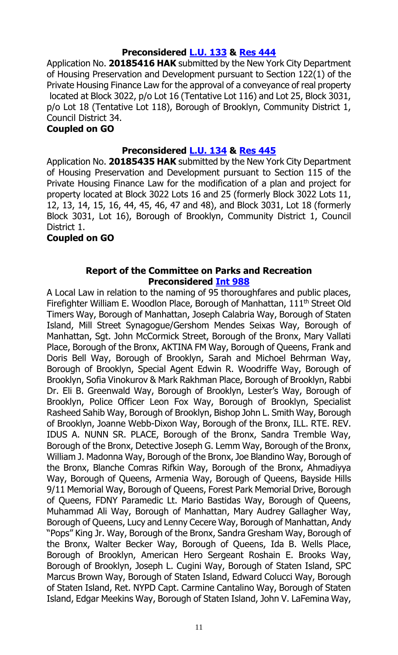# **Preconsidered [L.U.](http://legistar.council.nyc.gov/LegislationDetail.aspx?ID=3529929&GUID=9562C237-AA45-48D7-BE88-16F70C591D50&Options=&Search=) 133 & [Res](http://legistar.council.nyc.gov/LegislationDetail.aspx?ID=3534687&GUID=1FFF474A-D4BC-40E1-86CF-BD004BEF5455&Options=&Search=) 444**

Application No. **20185416 HAK** submitted by the New York City Department of Housing Preservation and Development pursuant to Section 122(1) of the Private Housing Finance Law for the approval of a conveyance of real property located at Block 3022, p/o Lot 16 (Tentative Lot 116) and Lot 25, Block 3031, p/o Lot 18 (Tentative Lot 118), Borough of Brooklyn, Community District 1, Council District 34.

#### **Coupled on GO**

#### **Preconsidered [L.U.](http://legistar.council.nyc.gov/LegislationDetail.aspx?ID=3529930&GUID=F4C21935-4227-42FF-A60E-43902DA2CEB6&Options=&Search=) 134 & [Res](http://legistar.council.nyc.gov/LegislationDetail.aspx?ID=3534688&GUID=2010AD81-F061-4E85-8E82-CC315B5EBC4E&Options=&Search=) 445**

Application No. **20185435 HAK** submitted by the New York City Department of Housing Preservation and Development pursuant to Section 115 of the Private Housing Finance Law for the modification of a plan and project for property located at Block 3022 Lots 16 and 25 (formerly Block 3022 Lots 11, 12, 13, 14, 15, 16, 44, 45, 46, 47 and 48), and Block 3031, Lot 18 (formerly Block 3031, Lot 16), Borough of Brooklyn, Community District 1, Council District 1.

#### **Coupled on GO**

#### **Report of the Committee on Parks and Recreation Preconsidered Int [988](http://legistar.council.nyc.gov/LegislationDetail.aspx?ID=3537449&GUID=ED8CABC4-A4D5-401C-8AA6-9023020D03A7&Options=&Search=)**

A Local Law in relation to the naming of 95 thoroughfares and public places, Firefighter William E. Woodlon Place, Borough of Manhattan, 111<sup>th</sup> Street Old Timers Way, Borough of Manhattan, Joseph Calabria Way, Borough of Staten Island, Mill Street Synagogue/Gershom Mendes Seixas Way, Borough of Manhattan, Sgt. John McCormick Street, Borough of the Bronx, Mary Vallati Place, Borough of the Bronx, AKTINA FM Way, Borough of Queens, Frank and Doris Bell Way, Borough of Brooklyn, Sarah and Michoel Behrman Way, Borough of Brooklyn, Special Agent Edwin R. Woodriffe Way, Borough of Brooklyn, Sofia Vinokurov & Mark Rakhman Place, Borough of Brooklyn, Rabbi Dr. Eli B. Greenwald Way, Borough of Brooklyn, Lester's Way, Borough of Brooklyn, Police Officer Leon Fox Way, Borough of Brooklyn, Specialist Rasheed Sahib Way, Borough of Brooklyn, Bishop John L. Smith Way, Borough of Brooklyn, Joanne Webb-Dixon Way, Borough of the Bronx, ILL. RTE. REV. IDUS A. NUNN SR. PLACE, Borough of the Bronx, Sandra Tremble Way, Borough of the Bronx, Detective Joseph G. Lemm Way, Borough of the Bronx, William J. Madonna Way, Borough of the Bronx, Joe Blandino Way, Borough of the Bronx, Blanche Comras Rifkin Way, Borough of the Bronx, Ahmadiyya Way, Borough of Queens, Armenia Way, Borough of Queens, Bayside Hills 9/11 Memorial Way, Borough of Queens, Forest Park Memorial Drive, Borough of Queens, FDNY Paramedic Lt. Mario Bastidas Way, Borough of Queens, Muhammad Ali Way, Borough of Manhattan, Mary Audrey Gallagher Way, Borough of Queens, Lucy and Lenny Cecere Way, Borough of Manhattan, Andy "Pops" King Jr. Way, Borough of the Bronx, Sandra Gresham Way, Borough of the Bronx, Walter Becker Way, Borough of Queens, Ida B. Wells Place, Borough of Brooklyn, American Hero Sergeant Roshain E. Brooks Way, Borough of Brooklyn, Joseph L. Cugini Way, Borough of Staten Island, SPC Marcus Brown Way, Borough of Staten Island, Edward Colucci Way, Borough of Staten Island, Ret. NYPD Capt. Carmine Cantalino Way, Borough of Staten Island, Edgar Meekins Way, Borough of Staten Island, John V. LaFemina Way,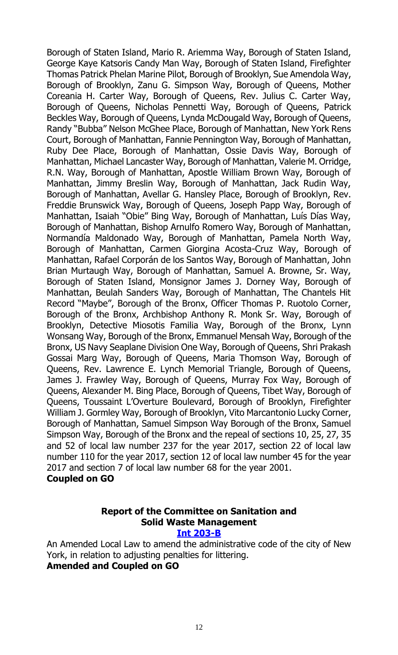Borough of Staten Island, Mario R. Ariemma Way, Borough of Staten Island, George Kaye Katsoris Candy Man Way, Borough of Staten Island, Firefighter Thomas Patrick Phelan Marine Pilot, Borough of Brooklyn, Sue Amendola Way, Borough of Brooklyn, Zanu G. Simpson Way, Borough of Queens, Mother Coreania H. Carter Way, Borough of Queens, Rev. Julius C. Carter Way, Borough of Queens, Nicholas Pennetti Way, Borough of Queens, Patrick Beckles Way, Borough of Queens, Lynda McDougald Way, Borough of Queens, Randy "Bubba" Nelson McGhee Place, Borough of Manhattan, New York Rens Court, Borough of Manhattan, Fannie Pennington Way, Borough of Manhattan, Ruby Dee Place, Borough of Manhattan, Ossie Davis Way, Borough of Manhattan, Michael Lancaster Way, Borough of Manhattan, Valerie M. Orridge, R.N. Way, Borough of Manhattan, Apostle William Brown Way, Borough of Manhattan, Jimmy Breslin Way, Borough of Manhattan, Jack Rudin Way, Borough of Manhattan, Avellar G. Hansley Place, Borough of Brooklyn, Rev. Freddie Brunswick Way, Borough of Queens, Joseph Papp Way, Borough of Manhattan, Isaiah "Obie" Bing Way, Borough of Manhattan, Luís Días Way, Borough of Manhattan, Bishop Arnulfo Romero Way, Borough of Manhattan, Normandía Maldonado Way, Borough of Manhattan, Pamela North Way, Borough of Manhattan, Carmen Giorgina Acosta-Cruz Way, Borough of Manhattan, Rafael Corporán de los Santos Way, Borough of Manhattan, John Brian Murtaugh Way, Borough of Manhattan, Samuel A. Browne, Sr. Way, Borough of Staten Island, Monsignor James J. Dorney Way, Borough of Manhattan, Beulah Sanders Way, Borough of Manhattan, The Chantels Hit Record "Maybe", Borough of the Bronx, Officer Thomas P. Ruotolo Corner, Borough of the Bronx, Archbishop Anthony R. Monk Sr. Way, Borough of Brooklyn, Detective Miosotis Familia Way, Borough of the Bronx, Lynn Wonsang Way, Borough of the Bronx, Emmanuel Mensah Way, Borough of the Bronx, US Navy Seaplane Division One Way, Borough of Queens, Shri Prakash Gossai Marg Way, Borough of Queens, Maria Thomson Way, Borough of Queens, Rev. Lawrence E. Lynch Memorial Triangle, Borough of Queens, James J. Frawley Way, Borough of Queens, Murray Fox Way, Borough of Queens, Alexander M. Bing Place, Borough of Queens, Tibet Way, Borough of Queens, Toussaint L'Overture Boulevard, Borough of Brooklyn, Firefighter William J. Gormley Way, Borough of Brooklyn, Vito Marcantonio Lucky Corner, Borough of Manhattan, Samuel Simpson Way Borough of the Bronx, Samuel Simpson Way, Borough of the Bronx and the repeal of sections 10, 25, 27, 35 and 52 of local law number 237 for the year 2017, section 22 of local law number 110 for the year 2017, section 12 of local law number 45 for the year 2017 and section 7 of local law number 68 for the year 2001. **Coupled on GO**

# **Report of the Committee on Sanitation and Solid Waste Management**

#### **[Int 203-B](http://legistar.council.nyc.gov/LegislationDetail.aspx?ID=3331900&GUID=F6D082E3-C8C5-4F92-91FC-5819888F1962&Options=&Search=)**

An Amended Local Law to amend the administrative code of the city of New York, in relation to adjusting penalties for littering.

# **Amended and Coupled on GO**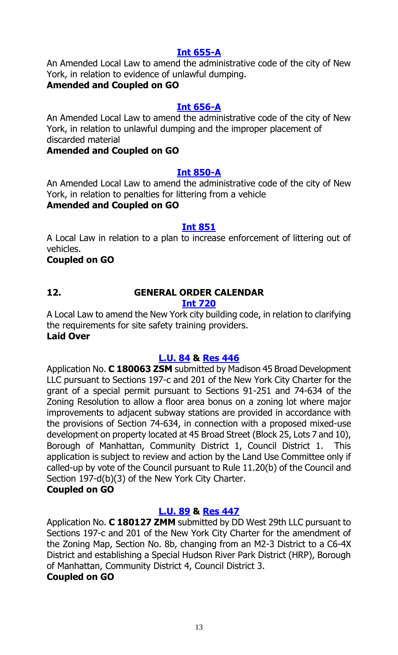# **[Int 655-A](http://legistar.council.nyc.gov/LegislationDetail.aspx?ID=3363744&GUID=C12BAE5A-6862-422C-89D0-90D3FCFFCE7F&Options=&Search=)**

An Amended Local Law to amend the administrative code of the city of New York, in relation to evidence of unlawful dumping.

# **Amended and Coupled on GO**

#### **[Int 656-A](http://legistar.council.nyc.gov/LegislationDetail.aspx?ID=3363746&GUID=D9B2BB3B-4AA0-450C-B1DC-40B3B2581131&Options=&Search=)**

An Amended Local Law to amend the administrative code of the city of New York, in relation to unlawful dumping and the improper placement of discarded material

#### **Amended and Coupled on GO**

#### **[Int 850-A](http://legistar.council.nyc.gov/LegislationDetail.aspx?ID=3482341&GUID=5CD22B3D-63C0-45CD-86C9-5E5E11FE0CE1&Options=&Search=)**

An Amended Local Law to amend the administrative code of the city of New York, in relation to penalties for littering from a vehicle **Amended and Coupled on GO**

#### **[Int 851](http://legistar.council.nyc.gov/LegislationDetail.aspx?ID=3482349&GUID=B928C15E-A12C-42A9-AB7F-022A23338C78&Options=&Search=)**

A Local Law in relation to a plan to increase enforcement of littering out of vehicles.

#### **Coupled on GO**

# **12. GENERAL ORDER CALENDAR**

# **[Int 720](http://legistar.council.nyc.gov/LegislationDetail.aspx?ID=3364140&GUID=4A00AE92-D940-431A-A3C6-0AA406BC41F1&Options=&Search=)**

A Local Law to amend the New York city building code, in relation to clarifying the requirements for site safety training providers. **Laid Over**

# **[L.U. 84](http://legistar.council.nyc.gov/LegislationDetail.aspx?ID=3498558&GUID=D13392EE-0356-4CFD-9C6A-35366E0AEFEA&Options=&Search=) & [Res](http://legistar.council.nyc.gov/LegislationDetail.aspx?ID=3520220&GUID=5E6CEFE6-671C-40F7-9AC1-46AA33F74D34&Options=&Search=) 446**

Application No. **C 180063 ZSM** submitted by Madison 45 Broad Development LLC pursuant to Sections 197-c and 201 of the New York City Charter for the grant of a special permit pursuant to Sections 91-251 and 74-634 of the Zoning Resolution to allow a floor area bonus on a zoning lot where major improvements to adjacent subway stations are provided in accordance with the provisions of Section 74-634, in connection with a proposed mixed-use development on property located at 45 Broad Street (Block 25, Lots 7 and 10), Borough of Manhattan, Community District 1, Council District 1. This application is subject to review and action by the Land Use Committee only if called-up by vote of the Council pursuant to Rule 11.20(b) of the Council and Section 197-d(b)(3) of the New York City Charter.

# **Coupled on GO**

# **[L.U. 89](http://legistar.council.nyc.gov/LegislationDetail.aspx?ID=3498563&GUID=FC63D868-0E16-40ED-B04C-B152D8F0D3FB&Options=&Search=) & [Res](http://legistar.council.nyc.gov/LegislationDetail.aspx?ID=3534354&GUID=2D4879D6-B80A-4B91-B602-FDC2D438C005&Options=&Search=) 447**

Application No. **C 180127 ZMM** submitted by DD West 29th LLC pursuant to Sections 197-c and 201 of the New York City Charter for the amendment of the Zoning Map, Section No. 8b, changing from an M2-3 District to a C6-4X District and establishing a Special Hudson River Park District (HRP), Borough of Manhattan, Community District 4, Council District 3. **Coupled on GO**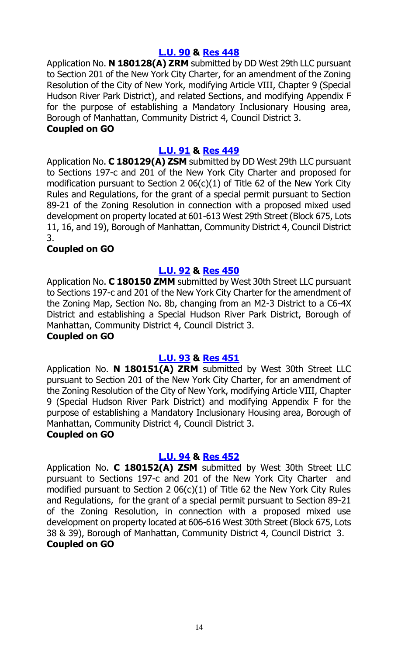# **[L.U. 90](http://legistar.council.nyc.gov/LegislationDetail.aspx?ID=3498564&GUID=8DF316B4-8D45-4ED5-8079-66D53AE7727B&Options=&Search=) & [Res](http://legistar.council.nyc.gov/LegislationDetail.aspx?ID=3534355&GUID=A4408E74-27CA-4053-898D-264901399F0A&Options=&Search=) 448**

Application No. **N 180128(A) ZRM** submitted by DD West 29th LLC pursuant to Section 201 of the New York City Charter, for an amendment of the Zoning Resolution of the City of New York, modifying Article VIII, Chapter 9 (Special Hudson River Park District), and related Sections, and modifying Appendix F for the purpose of establishing a Mandatory Inclusionary Housing area, Borough of Manhattan, Community District 4, Council District 3.

#### **Coupled on GO**

#### **[L.U. 91](http://legistar.council.nyc.gov/LegislationDetail.aspx?ID=3498565&GUID=3D2D52FF-D318-4036-A941-203E81FFAA93&Options=&Search=) & [Res](http://legistar.council.nyc.gov/LegislationDetail.aspx?ID=3534356&GUID=74ED221D-2A2B-46EA-B35C-552E51F5BDC4&Options=&Search=) 449**

Application No. **C 180129(A) ZSM** submitted by DD West 29th LLC pursuant to Sections 197-c and 201 of the New York City Charter and proposed for modification pursuant to Section 2 06(c)(1) of Title 62 of the New York City Rules and Regulations, for the grant of a special permit pursuant to Section 89-21 of the Zoning Resolution in connection with a proposed mixed used development on property located at 601-613 West 29th Street (Block 675, Lots 11, 16, and 19), Borough of Manhattan, Community District 4, Council District 3.

#### **Coupled on GO**

# **[L.U. 92](http://legistar.council.nyc.gov/LegislationDetail.aspx?ID=3498566&GUID=2D3259FF-41C6-40A6-AADC-7A4117F881FC&Options=&Search=) & [Res](http://legistar.council.nyc.gov/LegislationDetail.aspx?ID=3534357&GUID=13561E56-262E-4E34-AF48-2B2F768068C1&Options=&Search=) 450**

Application No. **C 180150 ZMM** submitted by West 30th Street LLC pursuant to Sections 197-c and 201 of the New York City Charter for the amendment of the Zoning Map, Section No. 8b, changing from an M2-3 District to a C6-4X District and establishing a Special Hudson River Park District, Borough of Manhattan, Community District 4, Council District 3.

#### **Coupled on GO**

#### **[L.U. 93](http://legistar.council.nyc.gov/LegislationDetail.aspx?ID=3498567&GUID=85AAF7FB-AD65-4302-82FD-89212683492F&Options=&Search=) & [Res](http://legistar.council.nyc.gov/LegislationDetail.aspx?ID=3534370&GUID=E20ED28F-FFCD-40CD-84F4-24A29494C14A&Options=&Search=) 451**

Application No. **N 180151(A) ZRM** submitted by West 30th Street LLC pursuant to Section 201 of the New York City Charter, for an amendment of the Zoning Resolution of the City of New York, modifying Article VIII, Chapter 9 (Special Hudson River Park District) and modifying Appendix F for the purpose of establishing a Mandatory Inclusionary Housing area, Borough of Manhattan, Community District 4, Council District 3.

#### **Coupled on GO**

#### **[L.U. 94](http://legistar.council.nyc.gov/LegislationDetail.aspx?ID=3498568&GUID=DF116C30-1A62-4A11-A862-3E2365CF3FC3&Options=&Search=) & [Res](http://legistar.council.nyc.gov/LegislationDetail.aspx?ID=3534371&GUID=2A02968D-CBA4-4F1F-93E4-72446FC781B2&Options=&Search=) 452**

Application No. **C 180152(A) ZSM** submitted by West 30th Street LLC pursuant to Sections 197-c and 201 of the New York City Charter and modified pursuant to Section 2 06(c)(1) of Title 62 the New York City Rules and Regulations, for the grant of a special permit pursuant to Section 89-21 of the Zoning Resolution, in connection with a proposed mixed use development on property located at 606-616 West 30th Street (Block 675, Lots 38 & 39), Borough of Manhattan, Community District 4, Council District 3. **Coupled on GO**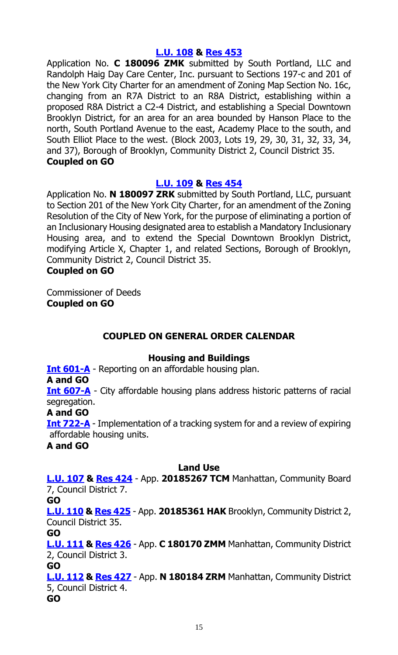#### **[L.U. 108](http://legistar.council.nyc.gov/LegislationDetail.aspx?ID=3508892&GUID=F1B81CAF-E7EA-43EF-880F-0DF54462B126&Options=&Search=) & [Res](http://legistar.council.nyc.gov/LegislationDetail.aspx?ID=3534483&GUID=B2EED830-BD50-407A-B158-5D022678480C&Options=&Search=) 453**

Application No. **C 180096 ZMK** submitted by South Portland, LLC and Randolph Haig Day Care Center, Inc. pursuant to Sections 197-c and 201 of the New York City Charter for an amendment of Zoning Map Section No. 16c, changing from an R7A District to an R8A District, establishing within a proposed R8A District a C2-4 District, and establishing a Special Downtown Brooklyn District, for an area for an area bounded by Hanson Place to the north, South Portland Avenue to the east, Academy Place to the south, and South Elliot Place to the west. (Block 2003, Lots 19, 29, 30, 31, 32, 33, 34, and 37), Borough of Brooklyn, Community District 2, Council District 35. **Coupled on GO**

# **[L.U. 109](http://legistar.council.nyc.gov/LegislationDetail.aspx?ID=3508893&GUID=F4D6AA08-BB5C-44CC-A21E-5493DDF70ED1&Options=&Search=) & [Res](http://legistar.council.nyc.gov/LegislationDetail.aspx?ID=3534484&GUID=CE147202-AAA8-4364-B8E7-6EC6092E08AF&Options=&Search=) 454**

Application No. **N 180097 ZRK** submitted by South Portland, LLC, pursuant to Section 201 of the New York City Charter, for an amendment of the Zoning Resolution of the City of New York, for the purpose of eliminating a portion of an Inclusionary Housing designated area to establish a Mandatory Inclusionary Housing area, and to extend the Special Downtown Brooklyn District, modifying Article X, Chapter 1, and related Sections, Borough of Brooklyn, Community District 2, Council District 35.

# **Coupled on GO**

Commissioner of Deeds **Coupled on GO**

# **COUPLED ON GENERAL ORDER CALENDAR**

# **Housing and Buildings**

**[Int 601-A](http://legistar.council.nyc.gov/LegislationDetail.aspx?ID=3344768&GUID=7ABAA307-1F33-4883-AFBC-56E6E2212DB7&Options=&Search=)** - Reporting on an affordable housing plan.

**A and GO**

**[Int 607-A](http://legistar.council.nyc.gov/LegislationDetail.aspx?ID=3344796&GUID=8E629C24-E879-415C-A513-1A244CCE0B3D&Options=&Search=)** - City affordable housing plans address historic patterns of racial segregation.

**A and GO**

**[Int 722-A](http://legistar.council.nyc.gov/LegislationDetail.aspx?ID=3458227&GUID=20DBCD3B-9049-4D1B-A19E-AFE60A8358DC&Options=&Search=)** - Implementation of a tracking system for and a review of expiring affordable housing units.

**A and GO**

#### **Land Use**

**[L.U. 107](http://legistar.council.nyc.gov/LegislationDetail.aspx?ID=3508891&GUID=FA8491AE-7DEA-4280-9E67-D0F4946AF44F&Options=&Search=) & [Res](http://legistar.council.nyc.gov/LegislationDetail.aspx?ID=3534372&GUID=776C98EA-0504-4547-A7F0-4559E1586C63&Options=&Search=) 424** - App. **20185267 TCM** Manhattan, Community Board 7, Council District 7.

**GO**

**[L.U. 110](http://legistar.council.nyc.gov/LegislationDetail.aspx?ID=3508894&GUID=1B42F0A8-B7A8-4533-9AF2-C5BE8948FDB9&Options=&Search=) & [Res](http://legistar.council.nyc.gov/LegislationDetail.aspx?ID=3534485&GUID=070232D9-7646-4A58-9719-7B871F5BA9CC&Options=&Search=) 425** - App. **20185361 HAK** Brooklyn, Community District 2, Council District 35.

**GO**

**[L.U. 111](http://legistar.council.nyc.gov/LegislationDetail.aspx?ID=3508895&GUID=D7F08BEF-DE10-4E78-8DD0-0C2D2FC394E3&Options=&Search=) & [Res](http://legistar.council.nyc.gov/LegislationDetail.aspx?ID=3534486&GUID=CB134DB7-C4B4-4BC1-8DF5-8868F9B3ED6C&Options=&Search=) 426** - App. **C 180170 ZMM** Manhattan, Community District 2, Council District 3.

**GO**

**[L.U. 112](http://legistar.council.nyc.gov/LegislationDetail.aspx?ID=3508896&GUID=BBA00D44-7600-4FBF-951B-9DA9A3E366DF&Options=&Search=) & [Res](http://legistar.council.nyc.gov/LegislationDetail.aspx?ID=3534487&GUID=F903B95D-38C9-4BD4-87E0-E6EC7D09509D&Options=&Search=) 427** - App. **N 180184 ZRM** Manhattan, Community District 5, Council District 4.

**GO**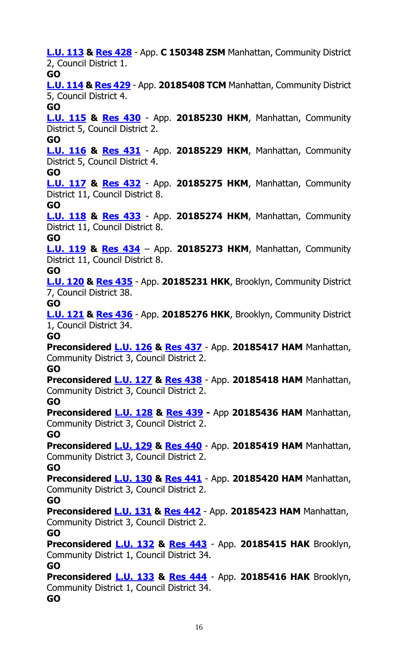**[L.U. 113](http://legistar.council.nyc.gov/LegislationDetail.aspx?ID=3508897&GUID=4CA54618-9279-4B64-93E3-C4530495FAF3&Options=&Search=) & [Res](http://legistar.council.nyc.gov/LegislationDetail.aspx?ID=3534488&GUID=D4589B2A-5485-4050-B685-03063BDE3C9A&Options=&Search=) 428** - App. **C 150348 ZSM** Manhattan, Community District 2, Council District 1. **GO [L.U. 114](http://legistar.council.nyc.gov/LegislationDetail.aspx?ID=3521936&GUID=088FB1F4-E682-4CA1-BD28-D3DDD91E3F08&Options=&Search=) & [Res](http://legistar.council.nyc.gov/LegislationDetail.aspx?ID=3534489&GUID=F8C1B55E-5D79-41A6-A6F2-A0A7D9787C92&Options=&Search=) 429** - App. **20185408 TCM** Manhattan, Community District 5, Council District 4. **GO [L.U. 115](http://legistar.council.nyc.gov/LegislationDetail.aspx?ID=3521937&GUID=671C1F51-9D0A-4E0D-9995-6A842845DD82&Options=&Search=) & [Res](http://legistar.council.nyc.gov/LegislationDetail.aspx?ID=3534505&GUID=00B8A7E9-689E-47E0-B6E0-93C54A819E4C&Options=&Search=) 430** - App. **20185230 HKM**, Manhattan, Community District 5, Council District 2. **GO [L.U. 116](http://legistar.council.nyc.gov/LegislationDetail.aspx?ID=3521939&GUID=7490BE39-4AF9-4895-93D6-551A17FA5009&Options=&Search=) & [Res](http://legistar.council.nyc.gov/LegislationDetail.aspx?ID=3534506&GUID=4F44C7B9-79D2-4FFF-899A-AEC4524041E5&Options=&Search=) 431** - App. **20185229 HKM**, Manhattan, Community District 5, Council District 4. **GO [L.U. 117](http://legistar.council.nyc.gov/LegislationDetail.aspx?ID=3521940&GUID=046D7436-FC23-4454-A7A6-B84A38C9A790&Options=&Search=) & [Res](http://legistar.council.nyc.gov/LegislationDetail.aspx?ID=3534507&GUID=B7ACA2F2-DA76-417C-9B64-118BE6AE88C3&Options=&Search=) 432** - App. **20185275 HKM**, Manhattan, Community District 11, Council District 8. **GO [L.U. 118](http://legistar.council.nyc.gov/LegislationDetail.aspx?ID=3521941&GUID=EE905A8D-CAA3-4325-BD25-45BE3B2603D3&Options=&Search=) & [Res](http://legistar.council.nyc.gov/LegislationDetail.aspx?ID=3534508&GUID=25B5A4D1-8094-46C3-BBB3-5AA8F3BE7F28&Options=&Search=) 433** - App. **20185274 HKM**, Manhattan, Community District 11, Council District 8. **GO [L.U. 119](http://legistar.council.nyc.gov/LegislationDetail.aspx?ID=3521942&GUID=DA26F0E6-C4F3-40A4-9378-5F869D79A032&Options=&Search=) & [Res](http://legistar.council.nyc.gov/LegislationDetail.aspx?ID=3534523&GUID=64BBC5D3-7F03-47C0-8A02-75DB230A63AD&Options=&Search=) 434** – App. **20185273 HKM**, Manhattan, Community District 11, Council District 8. **GO [L.U. 120](http://legistar.council.nyc.gov/LegislationDetail.aspx?ID=3521943&GUID=90E4474F-C128-43FA-AE7C-B3D7E3E00467&Options=&Search=) & [Res](http://legistar.council.nyc.gov/LegislationDetail.aspx?ID=3534524&GUID=FAF9CD3D-8996-448A-840F-AEB9A88E910F&Options=&Search=) 435** - App. **20185231 HKK**, Brooklyn, Community District 7, Council District 38. **GO [L.U. 121](http://legistar.council.nyc.gov/LegislationDetail.aspx?ID=3521944&GUID=1F06DB3E-4BAF-40CF-B5D2-65E5CC4D0BDE&Options=&Search=) & [Res](http://legistar.council.nyc.gov/LegislationDetail.aspx?ID=3534525&GUID=22DD033D-286D-4BE9-A2CD-BB770D40A30F&Options=&Search=) 436** - App. **20185276 HKK**, Brooklyn, Community District 1, Council District 34. **GO Preconsidered [L.U. 126](http://legistar.council.nyc.gov/LegislationDetail.aspx?ID=3529897&GUID=8A21A1D6-DC5F-4F82-A6FC-7B02866E585F&Options=&Search=) & [Res](http://legistar.council.nyc.gov/LegislationDetail.aspx?ID=3534556&GUID=694DC4DF-F9AA-4500-A109-C086D3B0B310&Options=&Search=) 437** - App. **20185417 HAM** Manhattan, Community District 3, Council District 2. **GO Preconsidered [L.U. 127](http://legistar.council.nyc.gov/LegislationDetail.aspx?ID=3529898&GUID=921D9135-168E-4E33-96AA-921D3CDF4220&Options=&Search=) & [Res](http://legistar.council.nyc.gov/LegislationDetail.aspx?ID=3534557&GUID=B2EE0BC4-5240-4A2F-B520-22EB13910023&Options=&Search=) 438** - App. **20185418 HAM** Manhattan, Community District 3, Council District 2. **GO Preconsidered [L.U. 128](http://legistar.council.nyc.gov/LegislationDetail.aspx?ID=3529899&GUID=73CA6B34-2A6F-48CE-BED4-440493324107&Options=&Search=) & [Res](http://legistar.council.nyc.gov/LegislationDetail.aspx?ID=3534558&GUID=FBA71311-775F-4A1A-84FD-5F176473F1B5&Options=&Search=) 439 -** App **20185436 HAM** Manhattan, Community District 3, Council District 2. **GO Preconsidered [L.U. 129](http://legistar.council.nyc.gov/LegislationDetail.aspx?ID=3529900&GUID=0D5A3238-B30F-40AC-A396-8CF5F182B56E&Options=&Search=) & [Res](http://legistar.council.nyc.gov/LegislationDetail.aspx?ID=3534664&GUID=2B4AF440-178D-4D34-85C0-C6235CB1F57E&Options=&Search=) 440** - App. **20185419 HAM** Manhattan, Community District 3, Council District 2. **GO Preconsidered [L.U. 130](http://legistar.council.nyc.gov/LegislationDetail.aspx?ID=3529926&GUID=3E6C7164-98ED-45CD-AF48-0554905C422E&Options=&Search=) & [Res](http://legistar.council.nyc.gov/LegislationDetail.aspx?ID=3534676&GUID=C8F6DAD1-8A5C-4EF2-9A77-1B4D0721D4C0&Options=&Search=) 441** - App. **20185420 HAM** Manhattan, Community District 3, Council District 2. **GO Preconsidered [L.U. 131](http://legistar.council.nyc.gov/LegislationDetail.aspx?ID=3529927&GUID=2C301C8A-A976-43F0-945C-B8923BDEFC5D&Options=&Search=) & [Res](http://legistar.council.nyc.gov/LegislationDetail.aspx?ID=3534677&GUID=C47AC9DC-1DA9-4A03-B763-0781B2E2CD17&Options=&Search=) 442** - App. **20185423 HAM** Manhattan, Community District 3, Council District 2. **GO Preconsidered [L.U. 132](http://legistar.council.nyc.gov/LegislationDetail.aspx?ID=3529928&GUID=CBEDC696-8F53-427B-A4B5-E10096E75C29&Options=&Search=) & [Res](http://legistar.council.nyc.gov/LegislationDetail.aspx?ID=3534686&GUID=B2F39B2D-7B1F-475E-8693-10027A841AB5&Options=&Search=) 443** - App. **20185415 HAK** Brooklyn, Community District 1, Council District 34. **GO Preconsidered [L.U. 133](http://legistar.council.nyc.gov/LegislationDetail.aspx?ID=3529929&GUID=9562C237-AA45-48D7-BE88-16F70C591D50&Options=&Search=) & [Res](http://legistar.council.nyc.gov/LegislationDetail.aspx?ID=3534687&GUID=1FFF474A-D4BC-40E1-86CF-BD004BEF5455&Options=&Search=) 444** - App. **20185416 HAK** Brooklyn, Community District 1, Council District 34. **GO**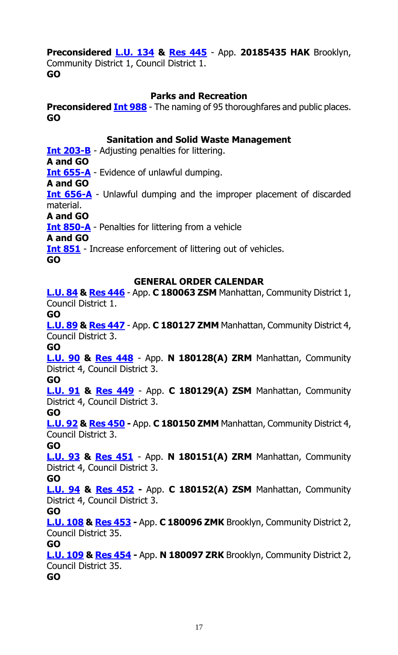# **Preconsidered [L.U. 134](http://legistar.council.nyc.gov/LegislationDetail.aspx?ID=3529930&GUID=F4C21935-4227-42FF-A60E-43902DA2CEB6&Options=&Search=) & [Res](http://legistar.council.nyc.gov/LegislationDetail.aspx?ID=3534688&GUID=2010AD81-F061-4E85-8E82-CC315B5EBC4E&Options=&Search=) 445** - App. **20185435 HAK** Brooklyn,

Community District 1, Council District 1. **GO**

#### **Parks and Recreation**

**Preconsidered Int [988](http://legistar.council.nyc.gov/LegislationDetail.aspx?ID=3537449&GUID=ED8CABC4-A4D5-401C-8AA6-9023020D03A7&Options=&Search=)** - The naming of 95 thoroughfares and public places. **GO**

#### **Sanitation and Solid Waste Management**

**[Int 203-B](http://legistar.council.nyc.gov/LegislationDetail.aspx?ID=3331900&GUID=F6D082E3-C8C5-4F92-91FC-5819888F1962&Options=&Search=)** - Adjusting penalties for littering.

**A and GO**

**[Int 655-A](http://legistar.council.nyc.gov/LegislationDetail.aspx?ID=3363744&GUID=C12BAE5A-6862-422C-89D0-90D3FCFFCE7F&Options=&Search=)** - Evidence of unlawful dumping.

**A and GO**

**[Int 656-A](http://legistar.council.nyc.gov/LegislationDetail.aspx?ID=3363746&GUID=D9B2BB3B-4AA0-450C-B1DC-40B3B2581131&Options=&Search=)** - Unlawful dumping and the improper placement of discarded material.

**A and GO**

**[Int 850-A](http://legistar.council.nyc.gov/LegislationDetail.aspx?ID=3482341&GUID=5CD22B3D-63C0-45CD-86C9-5E5E11FE0CE1&Options=&Search=)** - Penalties for littering from a vehicle

**A and GO**

**[Int 851](http://legistar.council.nyc.gov/LegislationDetail.aspx?ID=3482349&GUID=B928C15E-A12C-42A9-AB7F-022A23338C78&Options=&Search=)** - Increase enforcement of littering out of vehicles.

**GO**

# **GENERAL ORDER CALENDAR**

**[L.U. 84](http://legistar.council.nyc.gov/LegislationDetail.aspx?ID=3498558&GUID=D13392EE-0356-4CFD-9C6A-35366E0AEFEA&Options=&Search=) & [Res](http://legistar.council.nyc.gov/LegislationDetail.aspx?ID=3520220&GUID=5E6CEFE6-671C-40F7-9AC1-46AA33F74D34&Options=&Search=) 446** - App. **C 180063 ZSM** Manhattan, Community District 1, Council District 1.

**GO**

**[L.U. 89](http://legistar.council.nyc.gov/LegislationDetail.aspx?ID=3498563&GUID=FC63D868-0E16-40ED-B04C-B152D8F0D3FB&Options=&Search=) & [Res 447](http://legistar.council.nyc.gov/LegislationDetail.aspx?ID=3534354&GUID=2D4879D6-B80A-4B91-B602-FDC2D438C005&Options=&Search=)** - App. **C 180127 ZMM** Manhattan, Community District 4, Council District 3.

**GO**

**[L.U. 90](http://legistar.council.nyc.gov/LegislationDetail.aspx?ID=3498564&GUID=8DF316B4-8D45-4ED5-8079-66D53AE7727B&Options=&Search=) & [Res 448](http://legistar.council.nyc.gov/LegislationDetail.aspx?ID=3534355&GUID=A4408E74-27CA-4053-898D-264901399F0A&Options=&Search=)** - App. **N 180128(A) ZRM** Manhattan, Community District 4, Council District 3.

#### **GO**

**[L.U. 91](http://legistar.council.nyc.gov/LegislationDetail.aspx?ID=3498565&GUID=3D2D52FF-D318-4036-A941-203E81FFAA93&Options=&Search=) & [Res 449](http://legistar.council.nyc.gov/LegislationDetail.aspx?ID=3534356&GUID=74ED221D-2A2B-46EA-B35C-552E51F5BDC4&Options=&Search=)** - App. **C 180129(A) ZSM** Manhattan, Community District 4, Council District 3.

#### **GO**

**[L.U. 92](http://legistar.council.nyc.gov/LegislationDetail.aspx?ID=3498566&GUID=2D3259FF-41C6-40A6-AADC-7A4117F881FC&Options=&Search=) & [Res](http://legistar.council.nyc.gov/LegislationDetail.aspx?ID=3534357&GUID=13561E56-262E-4E34-AF48-2B2F768068C1&Options=&Search=) 450 -** App. **C 180150 ZMM** Manhattan, Community District 4, Council District 3.

#### **GO**

**[L.U. 93](http://legistar.council.nyc.gov/LegislationDetail.aspx?ID=3498567&GUID=85AAF7FB-AD65-4302-82FD-89212683492F&Options=&Search=) & [Res 451](http://legistar.council.nyc.gov/LegislationDetail.aspx?ID=3534370&GUID=E20ED28F-FFCD-40CD-84F4-24A29494C14A&Options=&Search=)** - App. **N 180151(A) ZRM** Manhattan, Community District 4, Council District 3.

**GO**

**[L.U. 94](http://legistar.council.nyc.gov/LegislationDetail.aspx?ID=3498568&GUID=DF116C30-1A62-4A11-A862-3E2365CF3FC3&Options=&Search=) & [Res 452](http://legistar.council.nyc.gov/LegislationDetail.aspx?ID=3534371&GUID=2A02968D-CBA4-4F1F-93E4-72446FC781B2&Options=&Search=) -** App. **C 180152(A) ZSM** Manhattan, Community District 4, Council District 3.

#### **GO**

**[L.U. 108](http://legistar.council.nyc.gov/LegislationDetail.aspx?ID=3508892&GUID=F1B81CAF-E7EA-43EF-880F-0DF54462B126&Options=&Search=) & [Res 453](http://legistar.council.nyc.gov/LegislationDetail.aspx?ID=3534483&GUID=B2EED830-BD50-407A-B158-5D022678480C&Options=&Search=) -** App. **C 180096 ZMK** Brooklyn, Community District 2, Council District 35.

#### **GO**

**[L.U. 109](http://legistar.council.nyc.gov/LegislationDetail.aspx?ID=3508893&GUID=F4D6AA08-BB5C-44CC-A21E-5493DDF70ED1&Options=&Search=) & [Res 454](http://legistar.council.nyc.gov/LegislationDetail.aspx?ID=3534484&GUID=CE147202-AAA8-4364-B8E7-6EC6092E08AF&Options=&Search=) -** App. **N 180097 ZRK** Brooklyn, Community District 2, Council District 35.

**GO**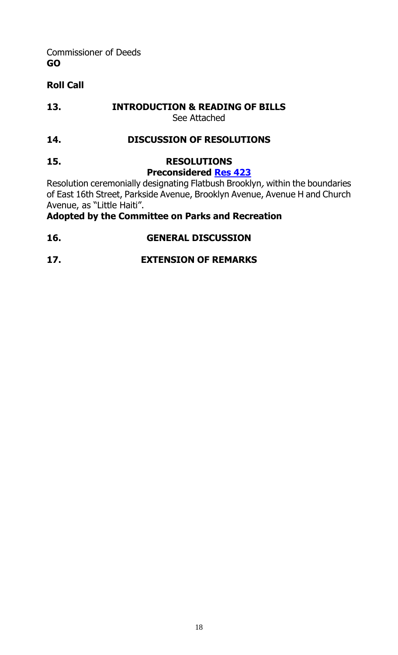Commissioner of Deeds **GO**

# **Roll Call**

**13. INTRODUCTION & READING OF BILLS** See Attached

# **14. DISCUSSION OF RESOLUTIONS**

# **15. RESOLUTIONS**

# **Preconsidered [Res](http://legistar.council.nyc.gov/LegislationDetail.aspx?ID=3538103&GUID=D86C2A6F-CE2A-4C41-A14E-E46155A8BA21&Options=&Search=) 423**

Resolution ceremonially designating Flatbush Brooklyn, within the boundaries of East 16th Street, Parkside Avenue, Brooklyn Avenue, Avenue H and Church Avenue, as "Little Haiti".

# **Adopted by the Committee on Parks and Recreation**

# **16. GENERAL DISCUSSION**

# **17. EXTENSION OF REMARKS**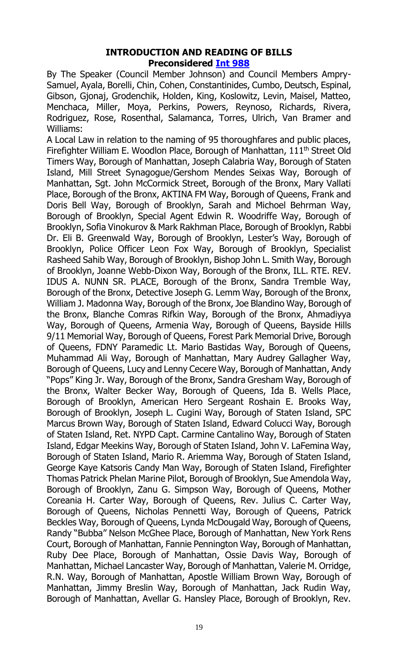#### **INTRODUCTION AND READING OF BILLS Preconsidered [Int 988](http://legistar.council.nyc.gov/LegislationDetail.aspx?ID=3537449&GUID=ED8CABC4-A4D5-401C-8AA6-9023020D03A7&Options=&Search=)**

By The Speaker (Council Member Johnson) and Council Members Ampry-Samuel, Ayala, Borelli, Chin, Cohen, Constantinides, Cumbo, Deutsch, Espinal, Gibson, Gjonaj, Grodenchik, Holden, King, Koslowitz, Levin, Maisel, Matteo, Menchaca, Miller, Moya, Perkins, Powers, Reynoso, Richards, Rivera, Rodriguez, Rose, Rosenthal, Salamanca, Torres, Ulrich, Van Bramer and Williams:

A Local Law in relation to the naming of 95 thoroughfares and public places, Firefighter William E. Woodlon Place, Borough of Manhattan, 111<sup>th</sup> Street Old Timers Way, Borough of Manhattan, Joseph Calabria Way, Borough of Staten Island, Mill Street Synagogue/Gershom Mendes Seixas Way, Borough of Manhattan, Sgt. John McCormick Street, Borough of the Bronx, Mary Vallati Place, Borough of the Bronx, AKTINA FM Way, Borough of Queens, Frank and Doris Bell Way, Borough of Brooklyn, Sarah and Michoel Behrman Way, Borough of Brooklyn, Special Agent Edwin R. Woodriffe Way, Borough of Brooklyn, Sofia Vinokurov & Mark Rakhman Place, Borough of Brooklyn, Rabbi Dr. Eli B. Greenwald Way, Borough of Brooklyn, Lester's Way, Borough of Brooklyn, Police Officer Leon Fox Way, Borough of Brooklyn, Specialist Rasheed Sahib Way, Borough of Brooklyn, Bishop John L. Smith Way, Borough of Brooklyn, Joanne Webb-Dixon Way, Borough of the Bronx, ILL. RTE. REV. IDUS A. NUNN SR. PLACE, Borough of the Bronx, Sandra Tremble Way, Borough of the Bronx, Detective Joseph G. Lemm Way, Borough of the Bronx, William J. Madonna Way, Borough of the Bronx, Joe Blandino Way, Borough of the Bronx, Blanche Comras Rifkin Way, Borough of the Bronx, Ahmadiyya Way, Borough of Queens, Armenia Way, Borough of Queens, Bayside Hills 9/11 Memorial Way, Borough of Queens, Forest Park Memorial Drive, Borough of Queens, FDNY Paramedic Lt. Mario Bastidas Way, Borough of Queens, Muhammad Ali Way, Borough of Manhattan, Mary Audrey Gallagher Way, Borough of Queens, Lucy and Lenny Cecere Way, Borough of Manhattan, Andy "Pops" King Jr. Way, Borough of the Bronx, Sandra Gresham Way, Borough of the Bronx, Walter Becker Way, Borough of Queens, Ida B. Wells Place, Borough of Brooklyn, American Hero Sergeant Roshain E. Brooks Way, Borough of Brooklyn, Joseph L. Cugini Way, Borough of Staten Island, SPC Marcus Brown Way, Borough of Staten Island, Edward Colucci Way, Borough of Staten Island, Ret. NYPD Capt. Carmine Cantalino Way, Borough of Staten Island, Edgar Meekins Way, Borough of Staten Island, John V. LaFemina Way, Borough of Staten Island, Mario R. Ariemma Way, Borough of Staten Island, George Kaye Katsoris Candy Man Way, Borough of Staten Island, Firefighter Thomas Patrick Phelan Marine Pilot, Borough of Brooklyn, Sue Amendola Way, Borough of Brooklyn, Zanu G. Simpson Way, Borough of Queens, Mother Coreania H. Carter Way, Borough of Queens, Rev. Julius C. Carter Way, Borough of Queens, Nicholas Pennetti Way, Borough of Queens, Patrick Beckles Way, Borough of Queens, Lynda McDougald Way, Borough of Queens, Randy "Bubba" Nelson McGhee Place, Borough of Manhattan, New York Rens Court, Borough of Manhattan, Fannie Pennington Way, Borough of Manhattan, Ruby Dee Place, Borough of Manhattan, Ossie Davis Way, Borough of Manhattan, Michael Lancaster Way, Borough of Manhattan, Valerie M. Orridge, R.N. Way, Borough of Manhattan, Apostle William Brown Way, Borough of Manhattan, Jimmy Breslin Way, Borough of Manhattan, Jack Rudin Way, Borough of Manhattan, Avellar G. Hansley Place, Borough of Brooklyn, Rev.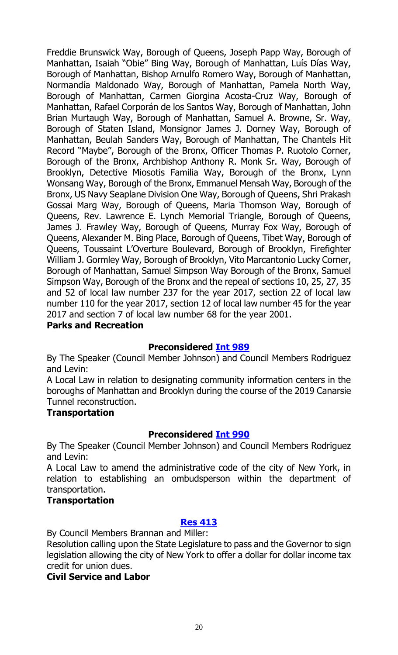Freddie Brunswick Way, Borough of Queens, Joseph Papp Way, Borough of Manhattan, Isaiah "Obie" Bing Way, Borough of Manhattan, Luís Días Way, Borough of Manhattan, Bishop Arnulfo Romero Way, Borough of Manhattan, Normandía Maldonado Way, Borough of Manhattan, Pamela North Way, Borough of Manhattan, Carmen Giorgina Acosta-Cruz Way, Borough of Manhattan, Rafael Corporán de los Santos Way, Borough of Manhattan, John Brian Murtaugh Way, Borough of Manhattan, Samuel A. Browne, Sr. Way, Borough of Staten Island, Monsignor James J. Dorney Way, Borough of Manhattan, Beulah Sanders Way, Borough of Manhattan, The Chantels Hit Record "Maybe", Borough of the Bronx, Officer Thomas P. Ruotolo Corner, Borough of the Bronx, Archbishop Anthony R. Monk Sr. Way, Borough of Brooklyn, Detective Miosotis Familia Way, Borough of the Bronx, Lynn Wonsang Way, Borough of the Bronx, Emmanuel Mensah Way, Borough of the Bronx, US Navy Seaplane Division One Way, Borough of Queens, Shri Prakash Gossai Marg Way, Borough of Queens, Maria Thomson Way, Borough of Queens, Rev. Lawrence E. Lynch Memorial Triangle, Borough of Queens, James J. Frawley Way, Borough of Queens, Murray Fox Way, Borough of Queens, Alexander M. Bing Place, Borough of Queens, Tibet Way, Borough of Queens, Toussaint L'Overture Boulevard, Borough of Brooklyn, Firefighter William J. Gormley Way, Borough of Brooklyn, Vito Marcantonio Lucky Corner, Borough of Manhattan, Samuel Simpson Way Borough of the Bronx, Samuel Simpson Way, Borough of the Bronx and the repeal of sections 10, 25, 27, 35 and 52 of local law number 237 for the year 2017, section 22 of local law number 110 for the year 2017, section 12 of local law number 45 for the year 2017 and section 7 of local law number 68 for the year 2001.

# **Parks and Recreation**

# **Preconsidered [Int 989](http://legistar.council.nyc.gov/LegislationDetail.aspx?ID=3535058&GUID=964E2C5C-78DC-447C-A79F-9FB32CF0798C&Options=&Search=)**

By The Speaker (Council Member Johnson) and Council Members Rodriguez and Levin:

A Local Law in relation to designating community information centers in the boroughs of Manhattan and Brooklyn during the course of the 2019 Canarsie Tunnel reconstruction.

#### **Transportation**

#### **Preconsidered [Int 990](http://legistar.council.nyc.gov/LegislationDetail.aspx?ID=3535059&GUID=8B34206E-5665-4E3C-A6C7-F799411DCF9E&Options=&Search=)**

By The Speaker (Council Member Johnson) and Council Members Rodriguez and Levin:

A Local Law to amend the administrative code of the city of New York, in relation to establishing an ombudsperson within the department of transportation.

#### **Transportation**

#### **[Res 413](http://legistar.council.nyc.gov/LegislationDetail.aspx?ID=3541086&GUID=43DCCD4B-5B8D-449B-A58E-7DAF94C67B79&Options=&Search=)**

By Council Members Brannan and Miller:

Resolution calling upon the State Legislature to pass and the Governor to sign legislation allowing the city of New York to offer a dollar for dollar income tax credit for union dues.

#### **Civil Service and Labor**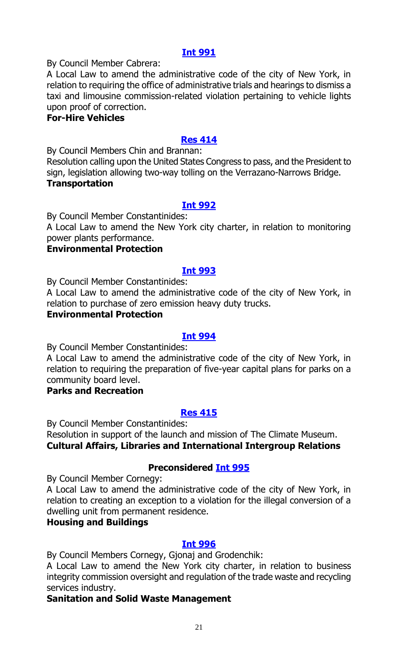By Council Member Cabrera:

A Local Law to amend the administrative code of the city of New York, in relation to requiring the office of administrative trials and hearings to dismiss a taxi and limousine commission-related violation pertaining to vehicle lights upon proof of correction.

#### **For-Hire Vehicles**

#### **[Res 414](http://legistar.council.nyc.gov/LegislationDetail.aspx?ID=3541082&GUID=E6BF04AE-0847-489A-8DB6-4F96E187960E&Options=&Search=)**

By Council Members Chin and Brannan:

Resolution calling upon the United States Congress to pass, and the President to sign, legislation allowing two-way tolling on the Verrazano-Narrows Bridge. **Transportation**

#### **[Int 992](http://legistar.council.nyc.gov/LegislationDetail.aspx?ID=3541109&GUID=B8733D32-FA45-43FA-9F22-FBA4E5963D30&Options=&Search=)**

By Council Member Constantinides:

A Local Law to amend the New York city charter, in relation to monitoring power plants performance.

# **Environmental Protection**

#### **[Int 993](http://legistar.council.nyc.gov/LegislationDetail.aspx?ID=3541110&GUID=512EE3C0-FBA7-4FE3-BE31-CD81DC8A1806&Options=&Search=)**

By Council Member Constantinides:

A Local Law to amend the administrative code of the city of New York, in relation to purchase of zero emission heavy duty trucks.

#### **Environmental Protection**

#### **[Int 994](http://legistar.council.nyc.gov/LegislationDetail.aspx?ID=3541107&GUID=BF64060B-1335-4B08-84B3-043C6AAD0745&Options=&Search=)**

By Council Member Constantinides:

A Local Law to amend the administrative code of the city of New York, in relation to requiring the preparation of five-year capital plans for parks on a community board level.

#### **Parks and Recreation**

#### **[Res 415](http://legistar.council.nyc.gov/LegislationDetail.aspx?ID=3541102&GUID=8E9FE9D4-E58F-42F0-BFFE-892105A19580&Options=&Search=)**

By Council Member Constantinides:

Resolution in support of the launch and mission of The Climate Museum. **Cultural Affairs, Libraries and International Intergroup Relations**

#### **Preconsidered [Int 995](http://legistar.council.nyc.gov/LegislationDetail.aspx?ID=3533467&GUID=601FEA1F-57FA-4DC4-B0A4-D40067A789A3&Options=&Search=)**

By Council Member Cornegy:

A Local Law to amend the administrative code of the city of New York, in relation to creating an exception to a violation for the illegal conversion of a dwelling unit from permanent residence.

# **Housing and Buildings**

#### **[Int 996](http://legistar.council.nyc.gov/LegislationDetail.aspx?ID=3541101&GUID=3AAF1C45-BDFC-47EC-ACDD-807B1F01846A&Options=&Search=)**

By Council Members Cornegy, Gjonaj and Grodenchik:

A Local Law to amend the New York city charter, in relation to business integrity commission oversight and regulation of the trade waste and recycling services industry.

#### **Sanitation and Solid Waste Management**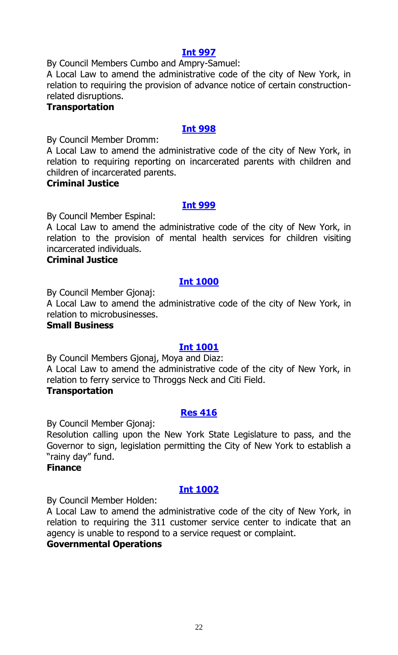By Council Members Cumbo and Ampry-Samuel:

A Local Law to amend the administrative code of the city of New York, in relation to requiring the provision of advance notice of certain constructionrelated disruptions.

#### **Transportation**

#### **[Int 998](http://legistar.council.nyc.gov/LegislationDetail.aspx?ID=3541084&GUID=6A4DCAE0-8CA5-4393-8BCC-53C470F753CC&Options=&Search=)**

By Council Member Dromm:

A Local Law to amend the administrative code of the city of New York, in relation to requiring reporting on incarcerated parents with children and children of incarcerated parents.

#### **Criminal Justice**

#### **[Int 999](http://legistar.council.nyc.gov/LegislationDetail.aspx?ID=3541081&GUID=1CA30986-85F1-447E-9332-1C9C801755F8&Options=&Search=)**

By Council Member Espinal:

A Local Law to amend the administrative code of the city of New York, in relation to the provision of mental health services for children visiting incarcerated individuals.

#### **Criminal Justice**

#### **[Int 1000](http://legistar.council.nyc.gov/LegislationDetail.aspx?ID=3541100&GUID=FEC2595F-CC5C-4A4D-86C0-9723576516CD&Options=&Search=)**

By Council Member Gjonaj:

A Local Law to amend the administrative code of the city of New York, in relation to microbusinesses.

#### **Small Business**

#### **[Int 1001](http://legistar.council.nyc.gov/LegislationDetail.aspx?ID=3541097&GUID=941509BD-5131-4E1E-84C2-041F7597FF97&Options=&Search=)**

By Council Members Gjonaj, Moya and Diaz: A Local Law to amend the administrative code of the city of New York, in relation to ferry service to Throggs Neck and Citi Field.

#### **Transportation**

#### **[Res 416](http://legistar.council.nyc.gov/LegislationDetail.aspx?ID=3541106&GUID=4937B1DE-2671-4C0A-A538-41CDC6530D2A&Options=&Search=)**

By Council Member Gjonaj:

Resolution calling upon the New York State Legislature to pass, and the Governor to sign, legislation permitting the City of New York to establish a "rainy day" fund.

#### **Finance**

#### **[Int 1002](http://legistar.council.nyc.gov/LegislationDetail.aspx?ID=3541118&GUID=B2312F00-2894-40AC-9DEF-A54C44F9FCBC&Options=&Search=)**

By Council Member Holden:

A Local Law to amend the administrative code of the city of New York, in relation to requiring the 311 customer service center to indicate that an agency is unable to respond to a service request or complaint.

#### **Governmental Operations**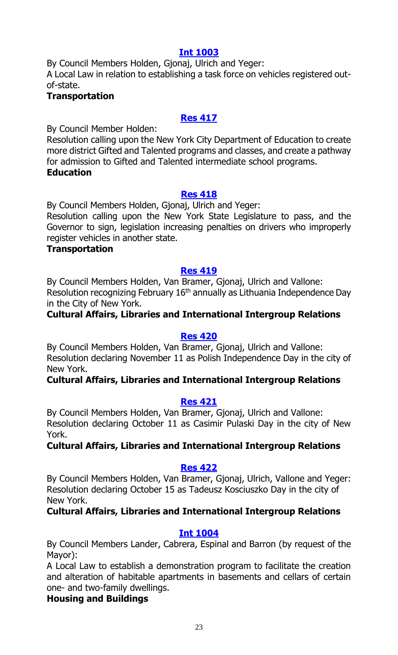By Council Members Holden, Gjonaj, Ulrich and Yeger: A Local Law in relation to establishing a task force on vehicles registered outof-state.

#### **Transportation**

# **[Res 417](http://legistar.council.nyc.gov/LegislationDetail.aspx?ID=3541093&GUID=2A246604-F3EB-4B99-9A1B-8B2F6F042B21&Options=&Search=)**

By Council Member Holden:

Resolution calling upon the New York City Department of Education to create more district Gifted and Talented programs and classes, and create a pathway for admission to Gifted and Talented intermediate school programs. **Education**

#### **[Res 418](http://legistar.council.nyc.gov/LegislationDetail.aspx?ID=3541122&GUID=449C1638-D2D9-4C16-A0D3-36BBC44D409E&Options=&Search=)**

By Council Members Holden, Gjonaj, Ulrich and Yeger:

Resolution calling upon the New York State Legislature to pass, and the Governor to sign, legislation increasing penalties on drivers who improperly register vehicles in another state.

#### **Transportation**

#### **[Res 419](http://legistar.council.nyc.gov/LegislationDetail.aspx?ID=3541108&GUID=9C470DA2-03F9-4B9D-B78B-95CB17790EA5&Options=&Search=)**

By Council Members Holden, Van Bramer, Gjonaj, Ulrich and Vallone: Resolution recognizing February 16<sup>th</sup> annually as Lithuania Independence Day in the City of New York.

# **Cultural Affairs, Libraries and International Intergroup Relations**

#### **[Res 420](http://legistar.council.nyc.gov/LegislationDetail.aspx?ID=3541090&GUID=16547039-2AA1-41CD-9D0C-8BFA102D11CE&Options=&Search=)**

By Council Members Holden, Van Bramer, Gjonaj, Ulrich and Vallone: Resolution declaring November 11 as Polish Independence Day in the city of New York.

# **Cultural Affairs, Libraries and International Intergroup Relations**

#### **[Res 421](http://legistar.council.nyc.gov/LegislationDetail.aspx?ID=3541088&GUID=74870ABB-8D32-467A-AF7D-56A866EE3A5F&Options=&Search=)**

By Council Members Holden, Van Bramer, Gjonaj, Ulrich and Vallone: Resolution declaring October 11 as Casimir Pulaski Day in the city of New York.

# **Cultural Affairs, Libraries and International Intergroup Relations**

#### **[Res 422](http://legistar.council.nyc.gov/LegislationDetail.aspx?ID=3541089&GUID=9B9372FF-38EF-43DC-88B1-12EC8BB88C45&Options=&Search=)**

By Council Members Holden, Van Bramer, Gjonaj, Ulrich, Vallone and Yeger: Resolution declaring October 15 as Tadeusz Kosciuszko Day in the city of New York.

# **Cultural Affairs, Libraries and International Intergroup Relations**

#### **[Int 1004](http://legistar.council.nyc.gov/LegislationDetail.aspx?ID=3541119&GUID=79F0901A-CE2C-44B5-B7F3-5474083B8960&Options=&Search=)**

By Council Members Lander, Cabrera, Espinal and Barron (by request of the Mayor):

A Local Law to establish a demonstration program to facilitate the creation and alteration of habitable apartments in basements and cellars of certain one- and two-family dwellings.

# **Housing and Buildings**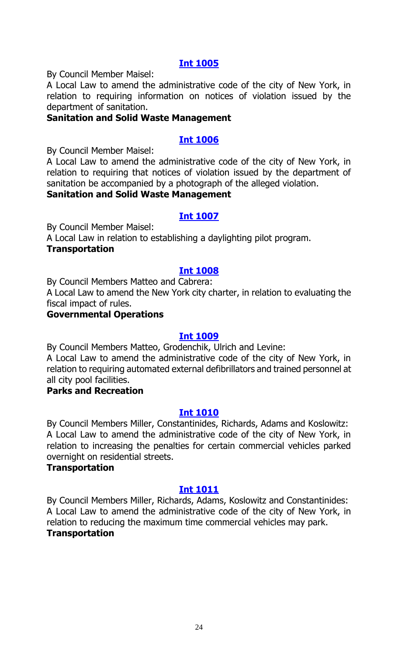By Council Member Maisel:

A Local Law to amend the administrative code of the city of New York, in relation to requiring information on notices of violation issued by the department of sanitation.

# **Sanitation and Solid Waste Management**

# **[Int 1006](http://legistar.council.nyc.gov/LegislationDetail.aspx?ID=3541095&GUID=1F95B708-568A-49DA-9A72-769C6E472988&Options=&Search=)**

By Council Member Maisel:

A Local Law to amend the administrative code of the city of New York, in relation to requiring that notices of violation issued by the department of sanitation be accompanied by a photograph of the alleged violation.

# **Sanitation and Solid Waste Management**

#### **[Int 1007](http://legistar.council.nyc.gov/LegislationDetail.aspx?ID=3541113&GUID=E06ED3C0-7B60-462B-B572-0A633F858D53&Options=&Search=)**

By Council Member Maisel:

A Local Law in relation to establishing a daylighting pilot program. **Transportation**

#### **[Int 1008](http://legistar.council.nyc.gov/LegislationDetail.aspx?ID=3541092&GUID=B4B19834-54B0-465E-95CF-A19671117A44&Options=&Search=)**

By Council Members Matteo and Cabrera:

A Local Law to amend the New York city charter, in relation to evaluating the fiscal impact of rules.

### **Governmental Operations**

#### **[Int 1009](http://legistar.council.nyc.gov/LegislationDetail.aspx?ID=3541105&GUID=40350CEC-C844-4C54-9DA9-C8AA02CE7929&Options=&Search=)**

By Council Members Matteo, Grodenchik, Ulrich and Levine:

A Local Law to amend the administrative code of the city of New York, in relation to requiring automated external defibrillators and trained personnel at all city pool facilities.

#### **Parks and Recreation**

#### **[Int 1010](http://legistar.council.nyc.gov/LegislationDetail.aspx?ID=3541121&GUID=6302EAEA-B090-44D1-9B18-8B55D216544C&Options=&Search=)**

By Council Members Miller, Constantinides, Richards, Adams and Koslowitz: A Local Law to amend the administrative code of the city of New York, in relation to increasing the penalties for certain commercial vehicles parked overnight on residential streets.

#### **Transportation**

#### **[Int 1011](http://legistar.council.nyc.gov/LegislationDetail.aspx?ID=3541083&GUID=16F93C7B-0287-41A3-8B4E-38DA3F9607EB&Options=&Search=)**

By Council Members Miller, Richards, Adams, Koslowitz and Constantinides: A Local Law to amend the administrative code of the city of New York, in relation to reducing the maximum time commercial vehicles may park. **Transportation**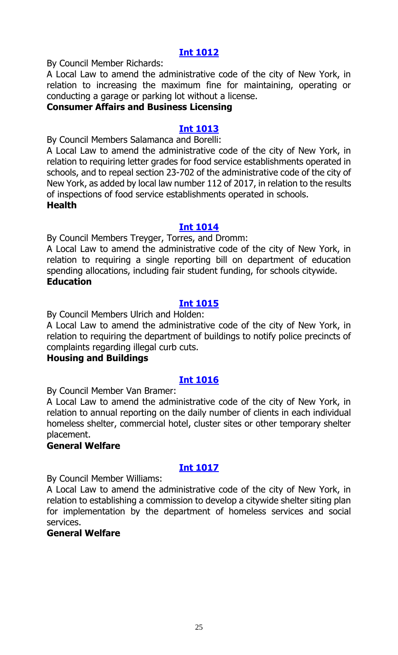By Council Member Richards:

A Local Law to amend the administrative code of the city of New York, in relation to increasing the maximum fine for maintaining, operating or conducting a garage or parking lot without a license.

#### **Consumer Affairs and Business Licensing**

#### **[Int 1013](http://legistar.council.nyc.gov/LegislationDetail.aspx?ID=3541087&GUID=CAC325DB-E359-4C63-A50B-68997574AB00&Options=&Search=)**

By Council Members Salamanca and Borelli:

A Local Law to amend the administrative code of the city of New York, in relation to requiring letter grades for food service establishments operated in schools, and to repeal section 23-702 of the administrative code of the city of New York, as added by local law number 112 of 2017, in relation to the results of inspections of food service establishments operated in schools. **Health**

#### **[Int 1014](http://legistar.council.nyc.gov/LegislationDetail.aspx?ID=3541120&GUID=F040F6CF-7132-452F-AD78-9ACCFBDF2DA9&Options=&Search=)**

By Council Members Treyger, Torres, and Dromm:

A Local Law to amend the administrative code of the city of New York, in relation to requiring a single reporting bill on department of education spending allocations, including fair student funding, for schools citywide. **Education**

# **[Int 1015](http://legistar.council.nyc.gov/LegislationDetail.aspx?ID=3541111&GUID=7082F244-5A20-4F50-B71B-2A219F326276&Options=&Search=)**

By Council Members Ulrich and Holden:

A Local Law to amend the administrative code of the city of New York, in relation to requiring the department of buildings to notify police precincts of complaints regarding illegal curb cuts.

#### **Housing and Buildings**

#### **[Int 1016](http://legistar.council.nyc.gov/LegislationDetail.aspx?ID=3541099&GUID=05E5518E-E40D-4586-927F-5A6DA99291DC&Options=&Search=)**

By Council Member Van Bramer:

A Local Law to amend the administrative code of the city of New York, in relation to annual reporting on the daily number of clients in each individual homeless shelter, commercial hotel, cluster sites or other temporary shelter placement.

#### **General Welfare**

# **[Int 1017](http://legistar.council.nyc.gov/LegislationDetail.aspx?ID=3541114&GUID=47A619F5-9C78-4557-928D-F26079D9F341&Options=&Search=)**

By Council Member Williams:

A Local Law to amend the administrative code of the city of New York, in relation to establishing a commission to develop a citywide shelter siting plan for implementation by the department of homeless services and social services.

#### **General Welfare**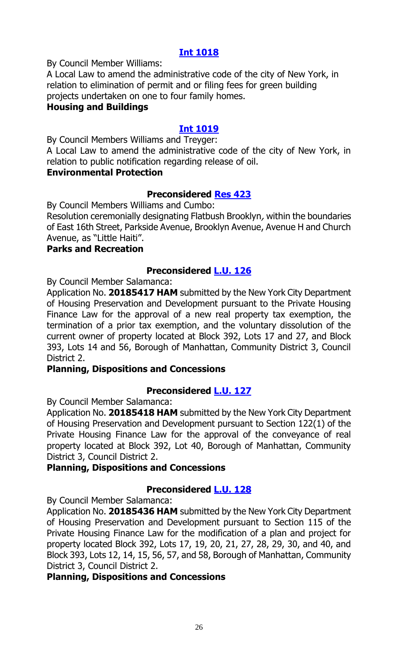By Council Member Williams:

A Local Law to amend the administrative code of the city of New York, in relation to elimination of permit and or filing fees for green building projects undertaken on one to four family homes.

# **Housing and Buildings**

# **[Int 1019](http://legistar.council.nyc.gov/LegislationDetail.aspx?ID=3541085&GUID=8172513F-FEB1-43BD-9197-26F7262EAF27&Options=&Search=)**

By Council Members Williams and Treyger:

A Local Law to amend the administrative code of the city of New York, in relation to public notification regarding release of oil.

#### **Environmental Protection**

#### **Preconsidered [Res 423](http://legistar.council.nyc.gov/LegislationDetail.aspx?ID=3538103&GUID=D86C2A6F-CE2A-4C41-A14E-E46155A8BA21&Options=&Search=)**

By Council Members Williams and Cumbo:

Resolution ceremonially designating Flatbush Brooklyn, within the boundaries of East 16th Street, Parkside Avenue, Brooklyn Avenue, Avenue H and Church Avenue, as "Little Haiti".

#### **Parks and Recreation**

#### **Preconsidered [L.U. 126](http://legistar.council.nyc.gov/LegislationDetail.aspx?ID=3529897&GUID=8A21A1D6-DC5F-4F82-A6FC-7B02866E585F&Options=&Search=)**

By Council Member Salamanca:

Application No. **20185417 HAM** submitted by the New York City Department of Housing Preservation and Development pursuant to the Private Housing Finance Law for the approval of a new real property tax exemption, the termination of a prior tax exemption, and the voluntary dissolution of the current owner of property located at Block 392, Lots 17 and 27, and Block 393, Lots 14 and 56, Borough of Manhattan, Community District 3, Council District 2.

#### **Planning, Dispositions and Concessions**

# **Preconsidered [L.U. 127](http://legistar.council.nyc.gov/LegislationDetail.aspx?ID=3529898&GUID=921D9135-168E-4E33-96AA-921D3CDF4220&Options=&Search=)**

By Council Member Salamanca:

Application No. **20185418 HAM** submitted by the New York City Department of Housing Preservation and Development pursuant to Section 122(1) of the Private Housing Finance Law for the approval of the conveyance of real property located at Block 392, Lot 40, Borough of Manhattan, Community District 3, Council District 2.

#### **Planning, Dispositions and Concessions**

#### **Preconsidered [L.U. 128](http://legistar.council.nyc.gov/LegislationDetail.aspx?ID=3529899&GUID=73CA6B34-2A6F-48CE-BED4-440493324107&Options=&Search=)**

By Council Member Salamanca:

Application No. **20185436 HAM** submitted by the New York City Department of Housing Preservation and Development pursuant to Section 115 of the Private Housing Finance Law for the modification of a plan and project for property located Block 392, Lots 17, 19, 20, 21, 27, 28, 29, 30, and 40, and Block 393, Lots 12, 14, 15, 56, 57, and 58, Borough of Manhattan, Community District 3, Council District 2.

#### **Planning, Dispositions and Concessions**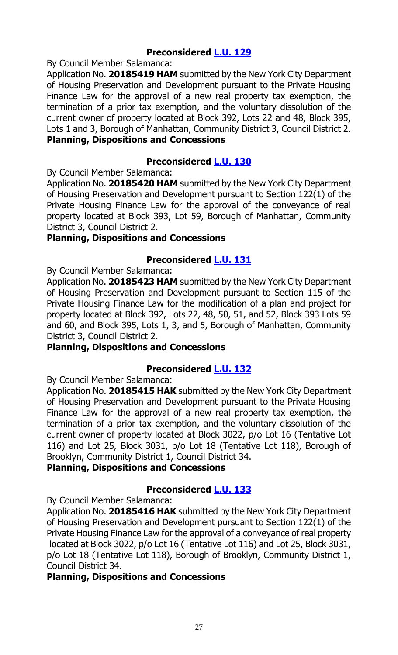# **Preconsidered [L.U. 129](http://legistar.council.nyc.gov/LegislationDetail.aspx?ID=3529900&GUID=0D5A3238-B30F-40AC-A396-8CF5F182B56E&Options=&Search=)**

By Council Member Salamanca:

Application No. **20185419 HAM** submitted by the New York City Department of Housing Preservation and Development pursuant to the Private Housing Finance Law for the approval of a new real property tax exemption, the termination of a prior tax exemption, and the voluntary dissolution of the current owner of property located at Block 392, Lots 22 and 48, Block 395, Lots 1 and 3, Borough of Manhattan, Community District 3, Council District 2. **Planning, Dispositions and Concessions**

#### **Preconsidered [L.U. 130](http://legistar.council.nyc.gov/LegislationDetail.aspx?ID=3529926&GUID=3E6C7164-98ED-45CD-AF48-0554905C422E&Options=&Search=)**

By Council Member Salamanca:

Application No. **20185420 HAM** submitted by the New York City Department of Housing Preservation and Development pursuant to Section 122(1) of the Private Housing Finance Law for the approval of the conveyance of real property located at Block 393, Lot 59, Borough of Manhattan, Community District 3, Council District 2.

#### **Planning, Dispositions and Concessions**

#### **Preconsidered [L.U. 131](http://legistar.council.nyc.gov/LegislationDetail.aspx?ID=3529927&GUID=2C301C8A-A976-43F0-945C-B8923BDEFC5D&Options=&Search=)**

By Council Member Salamanca:

Application No. **20185423 HAM** submitted by the New York City Department of Housing Preservation and Development pursuant to Section 115 of the Private Housing Finance Law for the modification of a plan and project for property located at Block 392, Lots 22, 48, 50, 51, and 52, Block 393 Lots 59 and 60, and Block 395, Lots 1, 3, and 5, Borough of Manhattan, Community District 3, Council District 2.

#### **Planning, Dispositions and Concessions**

#### **Preconsidered [L.U. 132](http://legistar.council.nyc.gov/LegislationDetail.aspx?ID=3529928&GUID=CBEDC696-8F53-427B-A4B5-E10096E75C29&Options=&Search=)**

By Council Member Salamanca:

Application No. **20185415 HAK** submitted by the New York City Department of Housing Preservation and Development pursuant to the Private Housing Finance Law for the approval of a new real property tax exemption, the termination of a prior tax exemption, and the voluntary dissolution of the current owner of property located at Block 3022, p/o Lot 16 (Tentative Lot 116) and Lot 25, Block 3031, p/o Lot 18 (Tentative Lot 118), Borough of Brooklyn, Community District 1, Council District 34.

#### **Planning, Dispositions and Concessions**

#### **Preconsidered [L.U. 133](http://legistar.council.nyc.gov/LegislationDetail.aspx?ID=3529929&GUID=9562C237-AA45-48D7-BE88-16F70C591D50&Options=&Search=)**

By Council Member Salamanca:

Application No. **20185416 HAK** submitted by the New York City Department of Housing Preservation and Development pursuant to Section 122(1) of the Private Housing Finance Law for the approval of a conveyance of real property located at Block 3022, p/o Lot 16 (Tentative Lot 116) and Lot 25, Block 3031, p/o Lot 18 (Tentative Lot 118), Borough of Brooklyn, Community District 1, Council District 34.

#### **Planning, Dispositions and Concessions**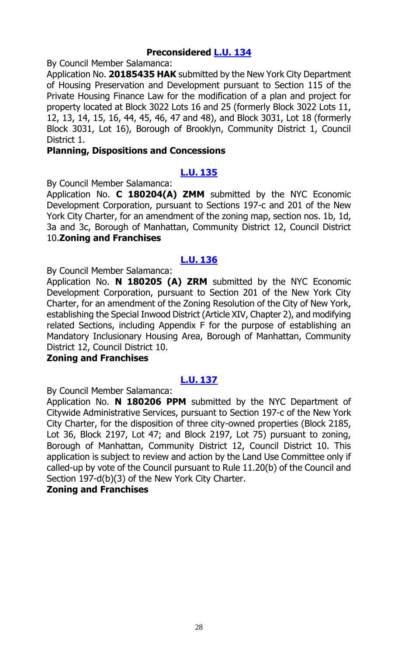# **Preconsidered [L.U. 134](http://legistar.council.nyc.gov/LegislationDetail.aspx?ID=3529930&GUID=F4C21935-4227-42FF-A60E-43902DA2CEB6&Options=&Search=)**

By Council Member Salamanca:

Application No. **20185435 HAK** submitted by the New York City Department of Housing Preservation and Development pursuant to Section 115 of the Private Housing Finance Law for the modification of a plan and project for property located at Block 3022 Lots 16 and 25 (formerly Block 3022 Lots 11, 12, 13, 14, 15, 16, 44, 45, 46, 47 and 48), and Block 3031, Lot 18 (formerly Block 3031, Lot 16), Borough of Brooklyn, Community District 1, Council District 1.

#### **Planning, Dispositions and Concessions**

# **[L.U.](http://legistar.council.nyc.gov/LegislationDetail.aspx?ID=3541130&GUID=314AB146-646B-4F5D-8B69-006E25CA4E2A&Options=&Search=) 135**

By Council Member Salamanca:

Application No. **C 180204(A) ZMM** submitted by the NYC Economic Development Corporation, pursuant to Sections 197-c and 201 of the New York City Charter, for an amendment of the zoning map, section nos. 1b, 1d, 3a and 3c, Borough of Manhattan, Community District 12, Council District 10.**Zoning and Franchises**

# **[L.U.](http://legistar.council.nyc.gov/LegislationDetail.aspx?ID=3541131&GUID=F4664829-90C3-4144-A0F2-11D73585C2BF&Options=&Search=) 136**

By Council Member Salamanca:

Application No. **N 180205 (A) ZRM** submitted by the NYC Economic Development Corporation, pursuant to Section 201 of the New York City Charter, for an amendment of the Zoning Resolution of the City of New York, establishing the Special Inwood District (Article XIV, Chapter 2), and modifying related Sections, including Appendix F for the purpose of establishing an Mandatory Inclusionary Housing Area, Borough of Manhattan, Community District 12, Council District 10.

# **Zoning and Franchises**

#### **[L.U.](http://legistar.council.nyc.gov/LegislationDetail.aspx?ID=3541132&GUID=A6CB0329-31DB-43DE-9C1A-5BFE28BAFC2D&Options=&Search=) 137**

By Council Member Salamanca:

Application No. **N 180206 PPM** submitted by the NYC Department of Citywide Administrative Services, pursuant to Section 197-c of the New York City Charter, for the disposition of three city-owned properties (Block 2185, Lot 36, Block 2197, Lot 47; and Block 2197, Lot 75) pursuant to zoning, Borough of Manhattan, Community District 12, Council District 10. This application is subject to review and action by the Land Use Committee only if called-up by vote of the Council pursuant to Rule 11.20(b) of the Council and Section 197-d(b)(3) of the New York City Charter.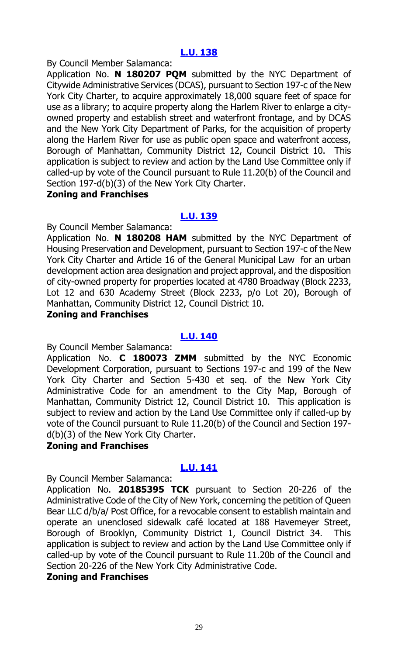By Council Member Salamanca:

Application No. **N 180207 PQM** submitted by the NYC Department of Citywide Administrative Services (DCAS), pursuant to Section 197-c of the New York City Charter, to acquire approximately 18,000 square feet of space for use as a library; to acquire property along the Harlem River to enlarge a cityowned property and establish street and waterfront frontage, and by DCAS and the New York City Department of Parks, for the acquisition of property along the Harlem River for use as public open space and waterfront access, Borough of Manhattan, Community District 12, Council District 10. This application is subject to review and action by the Land Use Committee only if called-up by vote of the Council pursuant to Rule 11.20(b) of the Council and Section 197-d(b)(3) of the New York City Charter.

#### **Zoning and Franchises**

#### **[L.U.](http://legistar.council.nyc.gov/LegislationDetail.aspx?ID=3541134&GUID=F0B0363B-B6B6-4F9A-932D-7F2EA7A3E2EF&Options=&Search=) 139**

By Council Member Salamanca:

Application No. **N 180208 HAM** submitted by the NYC Department of Housing Preservation and Development, pursuant to Section 197-c of the New York City Charter and Article 16 of the General Municipal Law for an urban development action area designation and project approval, and the disposition of city-owned property for properties located at 4780 Broadway (Block 2233, Lot 12 and 630 Academy Street (Block 2233, p/o Lot 20), Borough of Manhattan, Community District 12, Council District 10.

#### **Zoning and Franchises**

#### **[L.U.](http://legistar.council.nyc.gov/LegislationDetail.aspx?ID=3541135&GUID=3106FCD4-8B67-4A0E-BD6C-A42F57E8C93D&Options=&Search=) 140**

By Council Member Salamanca:

Application No. **C 180073 ZMM** submitted by the NYC Economic Development Corporation, pursuant to Sections 197-c and 199 of the New York City Charter and Section 5-430 et seq. of the New York City Administrative Code for an amendment to the City Map, Borough of Manhattan, Community District 12, Council District 10. This application is subject to review and action by the Land Use Committee only if called-up by vote of the Council pursuant to Rule 11.20(b) of the Council and Section 197 d(b)(3) of the New York City Charter.

#### **Zoning and Franchises**

# **[L.U.](http://legistar.council.nyc.gov/LegislationDetail.aspx?ID=3541136&GUID=17A03F65-00CA-4CAA-8973-8603E4810DD4&Options=&Search=) 141**

By Council Member Salamanca:

Application No. **20185395 TCK** pursuant to Section 20-226 of the Administrative Code of the City of New York, concerning the petition of Queen Bear LLC d/b/a/ Post Office, for a revocable consent to establish maintain and operate an unenclosed sidewalk café located at 188 Havemeyer Street, Borough of Brooklyn, Community District 1, Council District 34. This application is subject to review and action by the Land Use Committee only if called-up by vote of the Council pursuant to Rule 11.20b of the Council and Section 20-226 of the New York City Administrative Code.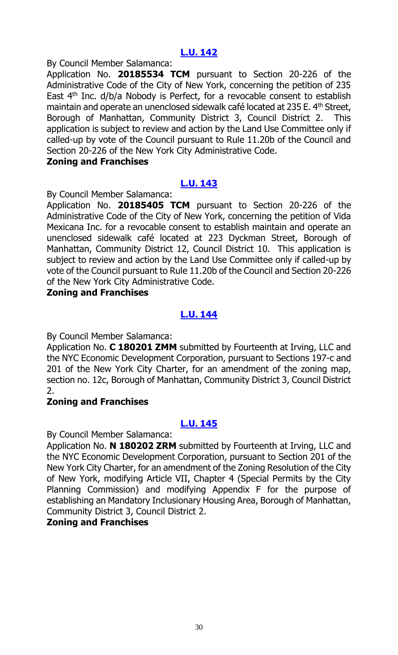By Council Member Salamanca:

Application No. **20185534 TCM** pursuant to Section 20-226 of the Administrative Code of the City of New York, concerning the petition of 235 East  $4<sup>th</sup>$  Inc. d/b/a Nobody is Perfect, for a revocable consent to establish maintain and operate an unenclosed sidewalk café located at 235 E. 4<sup>th</sup> Street, Borough of Manhattan, Community District 3, Council District 2. This application is subject to review and action by the Land Use Committee only if called-up by vote of the Council pursuant to Rule 11.20b of the Council and Section 20-226 of the New York City Administrative Code.

#### **Zoning and Franchises**

# **[L.U.](http://legistar.council.nyc.gov/LegislationDetail.aspx?ID=3541138&GUID=5E4B6CD5-E8D4-4288-B2A1-5270D8D75285&Options=&Search=) 143**

By Council Member Salamanca:

Application No. **20185405 TCM** pursuant to Section 20-226 of the Administrative Code of the City of New York, concerning the petition of Vida Mexicana Inc. for a revocable consent to establish maintain and operate an unenclosed sidewalk café located at 223 Dyckman Street, Borough of Manhattan, Community District 12, Council District 10. This application is subject to review and action by the Land Use Committee only if called-up by vote of the Council pursuant to Rule 11.20b of the Council and Section 20-226 of the New York City Administrative Code.

#### **Zoning and Franchises**

# **[L.U.](http://legistar.council.nyc.gov/LegislationDetail.aspx?ID=3541139&GUID=CDBBAACF-A69E-43AC-84B8-B22FA4D4B27B&Options=&Search=) 144**

By Council Member Salamanca:

Application No. **C 180201 ZMM** submitted by Fourteenth at Irving, LLC and the NYC Economic Development Corporation, pursuant to Sections 197-c and 201 of the New York City Charter, for an amendment of the zoning map, section no. 12c, Borough of Manhattan, Community District 3, Council District 2.

# **Zoning and Franchises**

# **[L.U.](http://legistar.council.nyc.gov/LegislationDetail.aspx?ID=3541140&GUID=4EA390A4-FB72-4F4A-9EB9-0AD1437B99F4&Options=&Search=) 145**

By Council Member Salamanca:

Application No. **N 180202 ZRM** submitted by Fourteenth at Irving, LLC and the NYC Economic Development Corporation, pursuant to Section 201 of the New York City Charter, for an amendment of the Zoning Resolution of the City of New York, modifying Article VII, Chapter 4 (Special Permits by the City Planning Commission) and modifying Appendix F for the purpose of establishing an Mandatory Inclusionary Housing Area, Borough of Manhattan, Community District 3, Council District 2.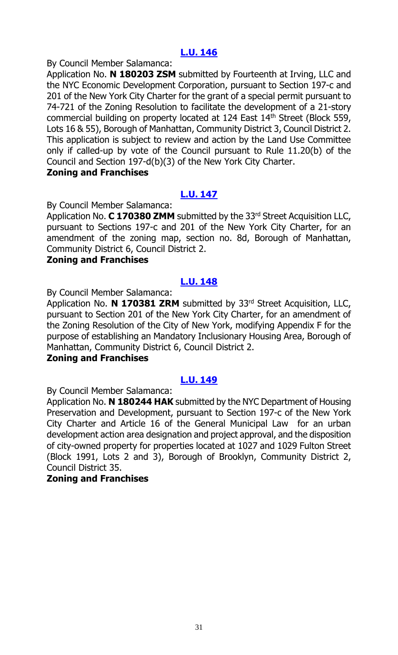By Council Member Salamanca:

Application No. **N 180203 ZSM** submitted by Fourteenth at Irving, LLC and the NYC Economic Development Corporation, pursuant to Section 197-c and 201 of the New York City Charter for the grant of a special permit pursuant to 74-721 of the Zoning Resolution to facilitate the development of a 21-story commercial building on property located at 124 East 14<sup>th</sup> Street (Block 559, Lots 16 & 55), Borough of Manhattan, Community District 3, Council District 2. This application is subject to review and action by the Land Use Committee only if called-up by vote of the Council pursuant to Rule 11.20(b) of the Council and Section 197-d(b)(3) of the New York City Charter.

#### **Zoning and Franchises**

# **[L.U.](http://legistar.council.nyc.gov/LegislationDetail.aspx?ID=3541142&GUID=621757F7-0B22-4B6F-8B7D-0F7BEE2AF528&Options=ID|&Search=) 147**

By Council Member Salamanca:

Application No. **C 170380 ZMM** submitted by the 33<sup>rd</sup> Street Acquisition LLC, pursuant to Sections 197-c and 201 of the New York City Charter, for an amendment of the zoning map, section no. 8d, Borough of Manhattan, Community District 6, Council District 2.

#### **Zoning and Franchises**

#### **[L.U.](http://legistar.council.nyc.gov/LegislationDetail.aspx?ID=3541143&GUID=AF92BB01-5877-49D5-8893-E84AB2F1022E&Options=ID|&Search=) 148**

By Council Member Salamanca:

Application No. **N 170381 ZRM** submitted by 33rd Street Acquisition, LLC, pursuant to Section 201 of the New York City Charter, for an amendment of the Zoning Resolution of the City of New York, modifying Appendix F for the purpose of establishing an Mandatory Inclusionary Housing Area, Borough of Manhattan, Community District 6, Council District 2.

#### **Zoning and Franchises**

#### **[L.U.](http://legistar.council.nyc.gov/LegislationDetail.aspx?ID=3541144&GUID=6E8B46CE-5CD1-41A8-A929-8B38F9FDAFB2&Options=ID|&Search=) 149**

By Council Member Salamanca:

Application No. **N 180244 HAK** submitted by the NYC Department of Housing Preservation and Development, pursuant to Section 197-c of the New York City Charter and Article 16 of the General Municipal Law for an urban development action area designation and project approval, and the disposition of city-owned property for properties located at 1027 and 1029 Fulton Street (Block 1991, Lots 2 and 3), Borough of Brooklyn, Community District 2, Council District 35.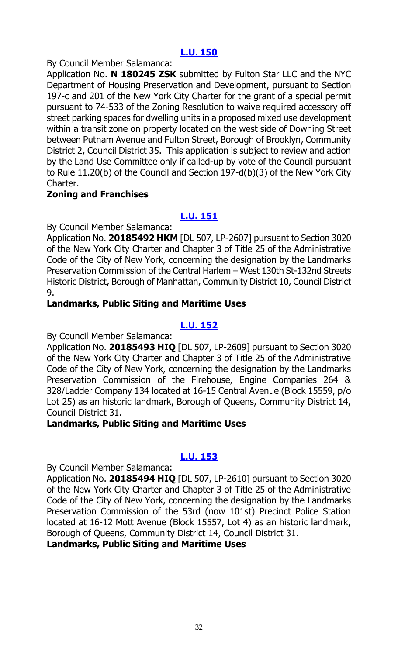By Council Member Salamanca:

Application No. **N 180245 ZSK** submitted by Fulton Star LLC and the NYC Department of Housing Preservation and Development, pursuant to Section 197-c and 201 of the New York City Charter for the grant of a special permit pursuant to 74-533 of the Zoning Resolution to waive required accessory off street parking spaces for dwelling units in a proposed mixed use development within a transit zone on property located on the west side of Downing Street between Putnam Avenue and Fulton Street, Borough of Brooklyn, Community District 2, Council District 35. This application is subject to review and action by the Land Use Committee only if called-up by vote of the Council pursuant to Rule 11.20(b) of the Council and Section 197-d(b)(3) of the New York City Charter.

#### **Zoning and Franchises**

**[L.U. 151](http://legistar.council.nyc.gov/LegislationDetail.aspx?ID=3541146&GUID=42B91945-5E2A-4AC8-8949-D9F0AD018D2A&Options=ID|&Search=)**

By Council Member Salamanca:

Application No. **20185492 HKM** [DL 507, LP-2607] pursuant to Section 3020 of the New York City Charter and Chapter 3 of Title 25 of the Administrative Code of the City of New York, concerning the designation by the Landmarks Preservation Commission of the Central Harlem – West 130th St-132nd Streets Historic District, Borough of Manhattan, Community District 10, Council District 9.

# **Landmarks, Public Siting and Maritime Uses**

# **[L.U. 152](http://legistar.council.nyc.gov/LegislationDetail.aspx?ID=3541147&GUID=76C6C7BC-2998-4399-B14F-02EB4E497631&Options=ID|&Search=)**

By Council Member Salamanca:

Application No. **20185493 HIQ** [DL 507, LP-2609] pursuant to Section 3020 of the New York City Charter and Chapter 3 of Title 25 of the Administrative Code of the City of New York, concerning the designation by the Landmarks Preservation Commission of the Firehouse, Engine Companies 264 & 328/Ladder Company 134 located at 16-15 Central Avenue (Block 15559, p/o Lot 25) as an historic landmark, Borough of Queens, Community District 14, Council District 31.

#### **Landmarks, Public Siting and Maritime Uses**

# **[L.U. 153](http://legistar.council.nyc.gov/LegislationDetail.aspx?ID=3541148&GUID=65F61C23-111B-4FE8-901D-C5A9D5BC756E&Options=ID|&Search=)**

By Council Member Salamanca:

Application No. **20185494 HIQ** [DL 507, LP-2610] pursuant to Section 3020 of the New York City Charter and Chapter 3 of Title 25 of the Administrative Code of the City of New York, concerning the designation by the Landmarks Preservation Commission of the 53rd (now 101st) Precinct Police Station located at 16-12 Mott Avenue (Block 15557, Lot 4) as an historic landmark, Borough of Queens, Community District 14, Council District 31.

**Landmarks, Public Siting and Maritime Uses**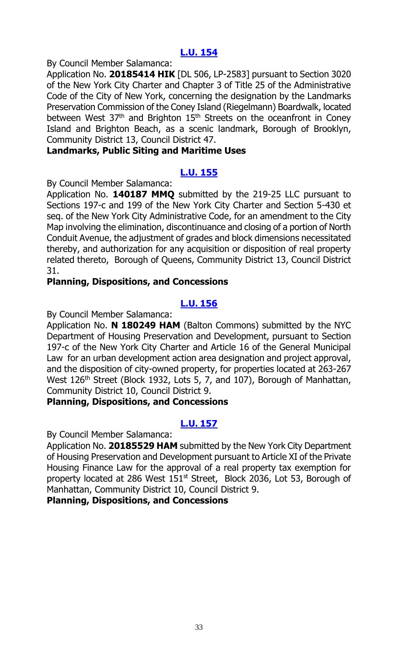By Council Member Salamanca:

Application No. **20185414 HIK** [DL 506, LP-2583] pursuant to Section 3020 of the New York City Charter and Chapter 3 of Title 25 of the Administrative Code of the City of New York, concerning the designation by the Landmarks Preservation Commission of the Coney Island (Riegelmann) Boardwalk, located between West  $37<sup>th</sup>$  and Brighton  $15<sup>th</sup>$  Streets on the oceanfront in Coney Island and Brighton Beach, as a scenic landmark, Borough of Brooklyn, Community District 13, Council District 47.

#### **Landmarks, Public Siting and Maritime Uses**

# **[L.U. 155](http://legistar.council.nyc.gov/LegislationDetail.aspx?ID=3541150&GUID=A9611912-A680-441C-8419-9A6FF44886F9&Options=ID|&Search=)**

By Council Member Salamanca:

Application No. **140187 MMQ** submitted by the 219-25 LLC pursuant to Sections 197-c and 199 of the New York City Charter and Section 5-430 et seq. of the New York City Administrative Code, for an amendment to the City Map involving the elimination, discontinuance and closing of a portion of North Conduit Avenue, the adjustment of grades and block dimensions necessitated thereby, and authorization for any acquisition or disposition of real property related thereto, Borough of Queens, Community District 13, Council District 31.

#### **Planning, Dispositions, and Concessions**

# **[L.U.](http://legistar.council.nyc.gov/LegislationDetail.aspx?ID=3541152&GUID=3012C271-75A0-413E-B153-5878014F326B&Options=ID|&Search=) 156**

By Council Member Salamanca:

Application No. **N 180249 HAM** (Balton Commons) submitted by the NYC Department of Housing Preservation and Development, pursuant to Section 197-c of the New York City Charter and Article 16 of the General Municipal Law for an urban development action area designation and project approval, and the disposition of city-owned property, for properties located at 263-267 West 126<sup>th</sup> Street (Block 1932, Lots 5, 7, and 107), Borough of Manhattan, Community District 10, Council District 9.

#### **Planning, Dispositions, and Concessions**

# **[L.U.](http://legistar.council.nyc.gov/LegislationDetail.aspx?ID=3541153&GUID=22125992-4229-4624-818E-D1776DE02176&Options=ID|&Search=) 157**

By Council Member Salamanca:

Application No. **20185529 HAM** submitted by the New York City Department of Housing Preservation and Development pursuant to Article XI of the Private Housing Finance Law for the approval of a real property tax exemption for property located at 286 West  $151<sup>st</sup>$  Street, Block 2036, Lot 53, Borough of Manhattan, Community District 10, Council District 9.

#### **Planning, Dispositions, and Concessions**